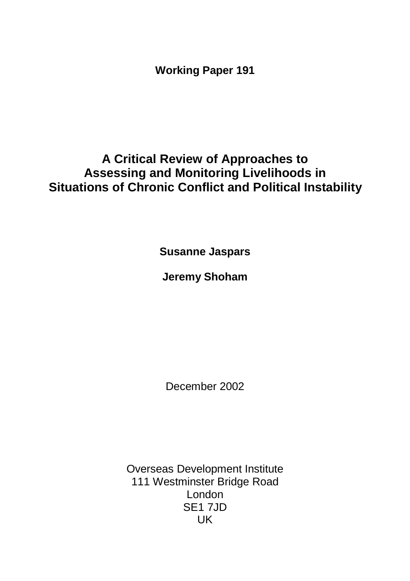**Working Paper 191**

# **A Critical Review of Approaches to Assessing and Monitoring Livelihoods in Situations of Chronic Conflict and Political Instability**

**Susanne Jaspars**

**Jeremy Shoham**

December 2002

Overseas Development Institute 111 Westminster Bridge Road London SE1 7JD UK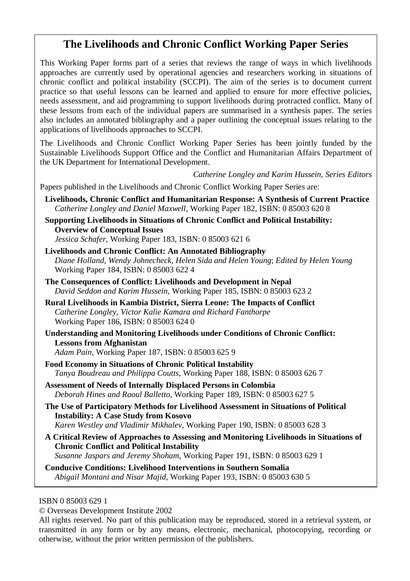# **The Livelihoods and Chronic Conflict Working Paper Series**

This Working Paper forms part of a series that reviews the range of ways in which livelihoods approaches are currently used by operational agencies and researchers working in situations of chronic conflict and political instability (SCCPI). The aim of the series is to document current practice so that useful lessons can be learned and applied to ensure for more effective policies, needs assessment, and aid programming to support livelihoods during protracted conflict. Many of these lessons from each of the individual papers are summarised in a synthesis paper. The series also includes an annotated bibliography and a paper outlining the conceptual issues relating to the applications of livelihoods approaches to SCCPI.

The Livelihoods and Chronic Conflict Working Paper Series has been jointly funded by the Sustainable Livelihoods Support Office and the Conflict and Humanitarian Affairs Department of the UK Department for International Development.

*Catherine Longley and Karim Hussein, Series Editors*

Papers published in the Livelihoods and Chronic Conflict Working Paper Series are:

- **Livelihoods, Chronic Conflict and Humanitarian Response: A Synthesis of Current Practice** *Catherine Longley and Daniel Maxwell*, Working Paper 182, ISBN: 0 85003 620 8
- **Supporting Livelihoods in Situations of Chronic Conflict and Political Instability: Overview of Conceptual Issues** *Jessica Schafer*, Working Paper 183, ISBN: 0 85003 621 6

**Livelihoods and Chronic Conflict: An Annotated Bibliography**  *Diane Holland, Wendy Johnecheck, Helen Sida and Helen Young*; *Edited by Helen Young* Working Paper 184, ISBN: 0 85003 622 4

- **The Consequences of Conflict: Livelihoods and Development in Nepal**  *David Seddon and Karim Hussein*, Working Paper 185, ISBN: 0 85003 623 2
- **Rural Livelihoods in Kambia District, Sierra Leone: The Impacts of Conflict**  *Catherine Longley, Victor Kalie Kamara and Richard Fanthorpe* Working Paper 186, ISBN: 0 85003 624 0
- **Understanding and Monitoring Livelihoods under Conditions of Chronic Conflict: Lessons from Afghanistan**

*Adam Pain*, Working Paper 187, ISBN: 0 85003 625 9

- **Food Economy in Situations of Chronic Political Instability**  *Tanya Boudreau and Philippa Coutts*, Working Paper 188, ISBN: 0 85003 626 7
- **Assessment of Needs of Internally Displaced Persons in Colombia** *Deborah Hines and Raoul Balletto*, Working Paper 189, ISBN: 0 85003 627 5
- **The Use of Participatory Methods for Livelihood Assessment in Situations of Political Instability: A Case Study from Kosovo** *Karen Westley and Vladimir Mikhalev*, Working Paper 190, ISBN: 0 85003 628 3
- **A Critical Review of Approaches to Assessing and Monitoring Livelihoods in Situations of Chronic Conflict and Political Instability** *Susanne Jaspars and Jeremy Shoham*, Working Paper 191, ISBN: 0 85003 629 1

**Conducive Conditions: Livelihood Interventions in Southern Somalia**  *Abigail Montani and Nisar Majid*, Working Paper 193, ISBN: 0 85003 630 5

ISBN 0 85003 629 1

© Overseas Development Institute 2002

All rights reserved. No part of this publication may be reproduced, stored in a retrieval system, or transmitted in any form or by any means, electronic, mechanical, photocopying, recording or otherwise, without the prior written permission of the publishers.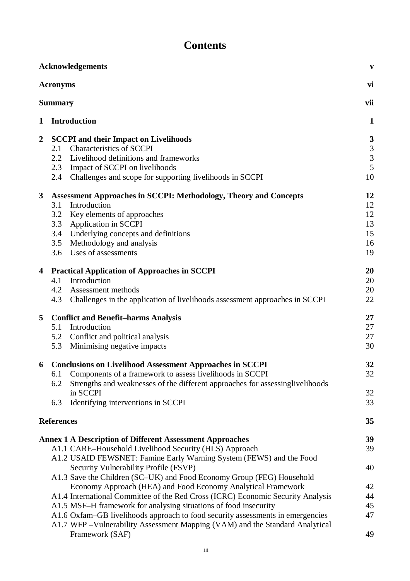# **Contents**

|                | <b>Acknowledgements</b><br>$\mathbf{v}$                                                                                                                         |               |  |
|----------------|-----------------------------------------------------------------------------------------------------------------------------------------------------------------|---------------|--|
|                | <b>Acronyms</b>                                                                                                                                                 | vi            |  |
|                | <b>Summary</b>                                                                                                                                                  |               |  |
| 1              | <b>Introduction</b>                                                                                                                                             | $\mathbf{1}$  |  |
| $\overline{2}$ | <b>SCCPI</b> and their Impact on Livelihoods                                                                                                                    | 3             |  |
|                | <b>Characteristics of SCCPI</b><br>2.1                                                                                                                          |               |  |
|                | 2.2<br>Livelihood definitions and frameworks                                                                                                                    | $\frac{3}{3}$ |  |
|                | 2.3 Impact of SCCPI on livelihoods                                                                                                                              | 5             |  |
|                | 2.4<br>Challenges and scope for supporting livelihoods in SCCPI                                                                                                 | 10            |  |
| $\mathbf{3}$   | <b>Assessment Approaches in SCCPI: Methodology, Theory and Concepts</b>                                                                                         | 12            |  |
|                | 3.1<br>Introduction                                                                                                                                             | 12            |  |
|                | 3.2<br>Key elements of approaches                                                                                                                               | 12            |  |
|                | <b>Application in SCCPI</b><br>3.3                                                                                                                              | 13            |  |
|                | Underlying concepts and definitions<br>3.4                                                                                                                      | 15            |  |
|                | Methodology and analysis<br>3.5                                                                                                                                 | 16            |  |
|                | 3.6 Uses of assessments                                                                                                                                         | 19            |  |
| 4              | <b>Practical Application of Approaches in SCCPI</b>                                                                                                             | 20            |  |
|                | Introduction<br>4.1                                                                                                                                             | 20            |  |
|                | 4.2<br>Assessment methods                                                                                                                                       | 20            |  |
|                | 4.3<br>Challenges in the application of livelihoods assessment approaches in SCCPI                                                                              | 22            |  |
| 5              | <b>Conflict and Benefit-harms Analysis</b>                                                                                                                      | 27            |  |
|                | Introduction<br>5.1                                                                                                                                             | 27            |  |
|                | 5.2 Conflict and political analysis                                                                                                                             | 27            |  |
|                | Minimising negative impacts<br>5.3                                                                                                                              | 30            |  |
| 6              | <b>Conclusions on Livelihood Assessment Approaches in SCCPI</b>                                                                                                 | 32            |  |
|                | Components of a framework to assess livelihoods in SCCPI<br>6.1                                                                                                 | 32            |  |
|                | Strengths and weaknesses of the different approaches for assessinglivelihoods<br>6.2                                                                            |               |  |
|                | in SCCPI                                                                                                                                                        | 32            |  |
|                | Identifying interventions in SCCPI<br>6.3                                                                                                                       | 33            |  |
|                | <b>References</b>                                                                                                                                               | 35            |  |
|                | <b>Annex 1 A Description of Different Assessment Approaches</b>                                                                                                 | 39            |  |
|                | A1.1 CARE-Household Livelihood Security (HLS) Approach                                                                                                          | 39            |  |
|                | A1.2 USAID FEWSNET: Famine Early Warning System (FEWS) and the Food                                                                                             |               |  |
|                | Security Vulnerability Profile (FSVP)                                                                                                                           | 40            |  |
|                | A1.3 Save the Children (SC–UK) and Food Economy Group (FEG) Household                                                                                           |               |  |
|                | Economy Approach (HEA) and Food Economy Analytical Framework                                                                                                    | 42            |  |
|                | A1.4 International Committee of the Red Cross (ICRC) Economic Security Analysis                                                                                 | 44            |  |
|                | A1.5 MSF-H framework for analysing situations of food insecurity                                                                                                | 45            |  |
|                | A1.6 Oxfam–GB livelihoods approach to food security assessments in emergencies<br>A1.7 WFP - Vulnerability Assessment Mapping (VAM) and the Standard Analytical | 47            |  |
|                | Framework (SAF)                                                                                                                                                 | 49            |  |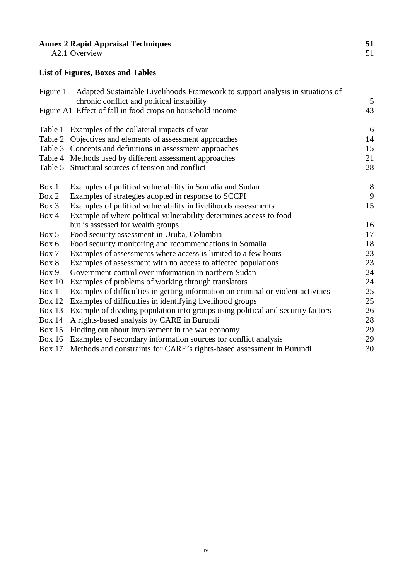#### **Annex 2 Rapid Appraisal Techniques 51**

A2.1 Overview 51

# **List of Figures, Boxes and Tables**

| Figure 1      | Adapted Sustainable Livelihoods Framework to support analysis in situations of<br>chronic conflict and political instability | 5  |
|---------------|------------------------------------------------------------------------------------------------------------------------------|----|
|               |                                                                                                                              |    |
|               | Figure A1 Effect of fall in food crops on household income                                                                   | 43 |
|               | Table 1 Examples of the collateral impacts of war                                                                            | 6  |
|               | Table 2 Objectives and elements of assessment approaches                                                                     | 14 |
|               | Table 3 Concepts and definitions in assessment approaches                                                                    | 15 |
|               | Table 4 Methods used by different assessment approaches                                                                      | 21 |
|               | Table 5 Structural sources of tension and conflict                                                                           | 28 |
| Box 1         | Examples of political vulnerability in Somalia and Sudan                                                                     | 8  |
| Box 2         | Examples of strategies adopted in response to SCCPI                                                                          | 9  |
| $Box\ 3$      | Examples of political vulnerability in livelihoods assessments                                                               | 15 |
| Box 4         | Example of where political vulnerability determines access to food                                                           |    |
|               | but is assessed for wealth groups                                                                                            | 16 |
| Box 5         | Food security assessment in Uruba, Columbia                                                                                  | 17 |
| Box 6         | Food security monitoring and recommendations in Somalia                                                                      | 18 |
| Box 7         | Examples of assessments where access is limited to a few hours                                                               | 23 |
| Box 8         | Examples of assessment with no access to affected populations                                                                | 23 |
| Box 9         | Government control over information in northern Sudan                                                                        | 24 |
| <b>Box 10</b> | Examples of problems of working through translators                                                                          | 24 |
| Box 11        | Examples of difficulties in getting information on criminal or violent activities                                            | 25 |
| <b>Box 12</b> | Examples of difficulties in identifying livelihood groups                                                                    | 25 |
| <b>Box 13</b> | Example of dividing population into groups using political and security factors                                              | 26 |
| <b>Box 14</b> | A rights-based analysis by CARE in Burundi                                                                                   | 28 |
| <b>Box 15</b> | Finding out about involvement in the war economy                                                                             | 29 |
| <b>Box 16</b> | Examples of secondary information sources for conflict analysis                                                              | 29 |
| <b>Box 17</b> | Methods and constraints for CARE's rights-based assessment in Burundi                                                        | 30 |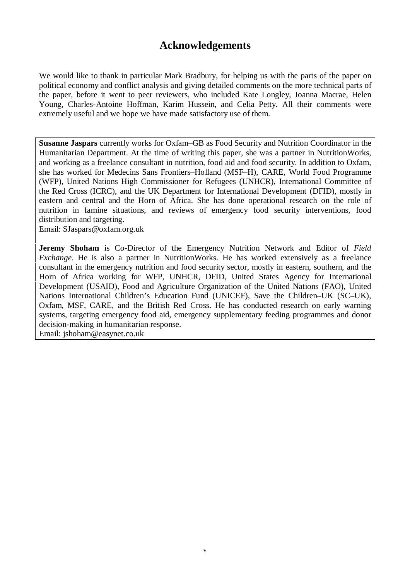# **Acknowledgements**

We would like to thank in particular Mark Bradbury, for helping us with the parts of the paper on political economy and conflict analysis and giving detailed comments on the more technical parts of the paper, before it went to peer reviewers, who included Kate Longley, Joanna Macrae, Helen Young, Charles-Antoine Hoffman, Karim Hussein, and Celia Petty. All their comments were extremely useful and we hope we have made satisfactory use of them.

**Susanne Jaspars** currently works for Oxfam–GB as Food Security and Nutrition Coordinator in the Humanitarian Department. At the time of writing this paper, she was a partner in NutritionWorks, and working as a freelance consultant in nutrition, food aid and food security. In addition to Oxfam, she has worked for Medecins Sans Frontiers–Holland (MSF–H), CARE, World Food Programme (WFP), United Nations High Commissioner for Refugees (UNHCR), International Committee of the Red Cross (ICRC), and the UK Department for International Development (DFID), mostly in eastern and central and the Horn of Africa. She has done operational research on the role of nutrition in famine situations, and reviews of emergency food security interventions, food distribution and targeting.

Email: SJaspars@oxfam.org.uk

**Jeremy Shoham** is Co-Director of the Emergency Nutrition Network and Editor of *Field Exchange*. He is also a partner in NutritionWorks. He has worked extensively as a freelance consultant in the emergency nutrition and food security sector, mostly in eastern, southern, and the Horn of Africa working for WFP, UNHCR, DFID, United States Agency for International Development (USAID), Food and Agriculture Organization of the United Nations (FAO), United Nations International Children's Education Fund (UNICEF), Save the Children–UK (SC–UK), Oxfam, MSF, CARE, and the British Red Cross. He has conducted research on early warning systems, targeting emergency food aid, emergency supplementary feeding programmes and donor decision-making in humanitarian response. Email: jshoham@easynet.co.uk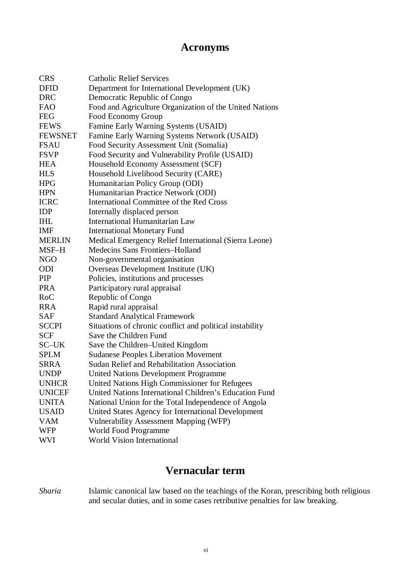# **Acronyms**

| <b>CRS</b>     | <b>Catholic Relief Services</b>                          |
|----------------|----------------------------------------------------------|
| <b>DFID</b>    | Department for International Development (UK)            |
| <b>DRC</b>     | Democratic Republic of Congo                             |
| <b>FAO</b>     | Food and Agriculture Organization of the United Nations  |
| <b>FEG</b>     | Food Economy Group                                       |
| <b>FEWS</b>    | Famine Early Warning Systems (USAID)                     |
| <b>FEWSNET</b> | Famine Early Warning Systems Network (USAID)             |
| <b>FSAU</b>    | Food Security Assessment Unit (Somalia)                  |
| <b>FSVP</b>    | Food Security and Vulnerability Profile (USAID)          |
| HEA            | Household Economy Assessment (SCF)                       |
| <b>HLS</b>     | Household Livelihood Security (CARE)                     |
| <b>HPG</b>     | Humanitarian Policy Group (ODI)                          |
| <b>HPN</b>     | Humanitarian Practice Network (ODI)                      |
| <b>ICRC</b>    | <b>International Committee of the Red Cross</b>          |
| <b>IDP</b>     | Internally displaced person                              |
| <b>IHL</b>     | <b>International Humanitarian Law</b>                    |
| <b>IMF</b>     | <b>International Monetary Fund</b>                       |
| <b>MERLIN</b>  | Medical Emergency Relief International (Sierra Leone)    |
| MSF-H          | Medecins Sans Frontiers-Holland                          |
| <b>NGO</b>     | Non-governmental organisation                            |
| ODI            | Overseas Development Institute (UK)                      |
| <b>PIP</b>     | Policies, institutions and processes                     |
| <b>PRA</b>     | Participatory rural appraisal                            |
| RoC            | Republic of Congo                                        |
| <b>RRA</b>     | Rapid rural appraisal                                    |
| <b>SAF</b>     | <b>Standard Analytical Framework</b>                     |
| <b>SCCPI</b>   | Situations of chronic conflict and political instability |
| <b>SCF</b>     | Save the Children Fund                                   |
| SC-UK          | Save the Children-United Kingdom                         |
| <b>SPLM</b>    | <b>Sudanese Peoples Liberation Movement</b>              |
| <b>SRRA</b>    | <b>Sudan Relief and Rehabilitation Association</b>       |
| <b>UNDP</b>    | <b>United Nations Development Programme</b>              |
| <b>UNHCR</b>   | United Nations High Commissioner for Refugees            |
| <b>UNICEF</b>  | United Nations International Children's Education Fund   |
| <b>UNITA</b>   | National Union for the Total Independence of Angola      |
| <b>USAID</b>   | United States Agency for International Development       |
| <b>VAM</b>     | <b>Vulnerability Assessment Mapping (WFP)</b>            |
| <b>WFP</b>     | World Food Programme                                     |
| <b>WVI</b>     | World Vision International                               |

# **Vernacular term**

*Sharia* Islamic canonical law based on the teachings of the Koran, prescribing both religious and secular duties, and in some cases retributive penalties for law breaking.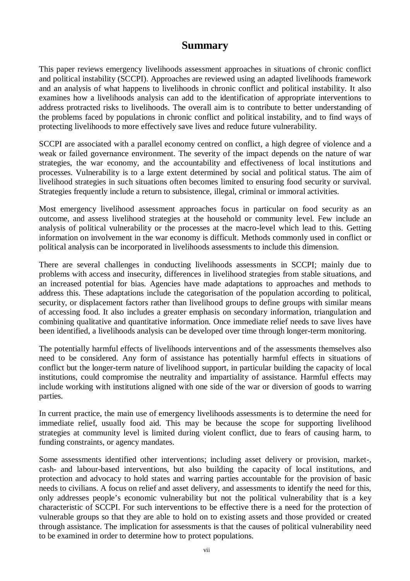# **Summary**

This paper reviews emergency livelihoods assessment approaches in situations of chronic conflict and political instability (SCCPI). Approaches are reviewed using an adapted livelihoods framework and an analysis of what happens to livelihoods in chronic conflict and political instability. It also examines how a livelihoods analysis can add to the identification of appropriate interventions to address protracted risks to livelihoods. The overall aim is to contribute to better understanding of the problems faced by populations in chronic conflict and political instability, and to find ways of protecting livelihoods to more effectively save lives and reduce future vulnerability.

SCCPI are associated with a parallel economy centred on conflict, a high degree of violence and a weak or failed governance environment. The severity of the impact depends on the nature of war strategies, the war economy, and the accountability and effectiveness of local institutions and processes. Vulnerability is to a large extent determined by social and political status. The aim of livelihood strategies in such situations often becomes limited to ensuring food security or survival. Strategies frequently include a return to subsistence, illegal, criminal or immoral activities.

Most emergency livelihood assessment approaches focus in particular on food security as an outcome, and assess livelihood strategies at the household or community level. Few include an analysis of political vulnerability or the processes at the macro-level which lead to this. Getting information on involvement in the war economy is difficult. Methods commonly used in conflict or political analysis can be incorporated in livelihoods assessments to include this dimension.

There are several challenges in conducting livelihoods assessments in SCCPI; mainly due to problems with access and insecurity, differences in livelihood strategies from stable situations, and an increased potential for bias. Agencies have made adaptations to approaches and methods to address this. These adaptations include the categorisation of the population according to political, security, or displacement factors rather than livelihood groups to define groups with similar means of accessing food. It also includes a greater emphasis on secondary information, triangulation and combining qualitative and quantitative information. Once immediate relief needs to save lives have been identified, a livelihoods analysis can be developed over time through longer-term monitoring.

The potentially harmful effects of livelihoods interventions and of the assessments themselves also need to be considered. Any form of assistance has potentially harmful effects in situations of conflict but the longer-term nature of livelihood support, in particular building the capacity of local institutions, could compromise the neutrality and impartiality of assistance. Harmful effects may include working with institutions aligned with one side of the war or diversion of goods to warring parties.

In current practice, the main use of emergency livelihoods assessments is to determine the need for immediate relief, usually food aid. This may be because the scope for supporting livelihood strategies at community level is limited during violent conflict, due to fears of causing harm, to funding constraints, or agency mandates.

Some assessments identified other interventions; including asset delivery or provision, market-, cash- and labour-based interventions, but also building the capacity of local institutions, and protection and advocacy to hold states and warring parties accountable for the provision of basic needs to civilians. A focus on relief and asset delivery, and assessments to identify the need for this, only addresses people's economic vulnerability but not the political vulnerability that is a key characteristic of SCCPI. For such interventions to be effective there is a need for the protection of vulnerable groups so that they are able to hold on to existing assets and those provided or created through assistance. The implication for assessments is that the causes of political vulnerability need to be examined in order to determine how to protect populations.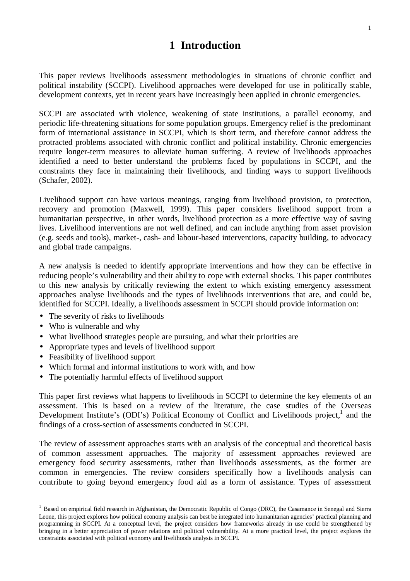# **1 Introduction**

This paper reviews livelihoods assessment methodologies in situations of chronic conflict and political instability (SCCPI). Livelihood approaches were developed for use in politically stable, development contexts, yet in recent years have increasingly been applied in chronic emergencies.

SCCPI are associated with violence, weakening of state institutions, a parallel economy, and periodic life-threatening situations for some population groups. Emergency relief is the predominant form of international assistance in SCCPI, which is short term, and therefore cannot address the protracted problems associated with chronic conflict and political instability. Chronic emergencies require longer-term measures to alleviate human suffering. A review of livelihoods approaches identified a need to better understand the problems faced by populations in SCCPI, and the constraints they face in maintaining their livelihoods, and finding ways to support livelihoods (Schafer, 2002).

Livelihood support can have various meanings, ranging from livelihood provision, to protection, recovery and promotion (Maxwell, 1999). This paper considers livelihood support from a humanitarian perspective, in other words, livelihood protection as a more effective way of saving lives. Livelihood interventions are not well defined, and can include anything from asset provision (e.g. seeds and tools), market-, cash- and labour-based interventions, capacity building, to advocacy and global trade campaigns.

A new analysis is needed to identify appropriate interventions and how they can be effective in reducing people's vulnerability and their ability to cope with external shocks. This paper contributes to this new analysis by critically reviewing the extent to which existing emergency assessment approaches analyse livelihoods and the types of livelihoods interventions that are, and could be, identified for SCCPI. Ideally, a livelihoods assessment in SCCPI should provide information on:

- The severity of risks to livelihoods
- Who is vulnerable and why

 $\overline{a}$ 

- What livelihood strategies people are pursuing, and what their priorities are
- Appropriate types and levels of livelihood support
- Feasibility of livelihood support
- Which formal and informal institutions to work with, and how
- The potentially harmful effects of livelihood support

This paper first reviews what happens to livelihoods in SCCPI to determine the key elements of an assessment. This is based on a review of the literature, the case studies of the Overseas Development Institute's (ODI's) Political Economy of Conflict and Livelihoods project,<sup>1</sup> and the findings of a cross-section of assessments conducted in SCCPI.

The review of assessment approaches starts with an analysis of the conceptual and theoretical basis of common assessment approaches. The majority of assessment approaches reviewed are emergency food security assessments, rather than livelihoods assessments, as the former are common in emergencies. The review considers specifically how a livelihoods analysis can contribute to going beyond emergency food aid as a form of assistance. Types of assessment

<sup>&</sup>lt;sup>1</sup> Based on empirical field research in Afghanistan, the Democratic Republic of Congo (DRC), the Casamance in Senegal and Sierra Leone, this project explores how political economy analysis can best be integrated into humanitarian agencies' practical planning and programming in SCCPI. At a conceptual level, the project considers how frameworks already in use could be strengthened by bringing in a better appreciation of power relations and political vulnerability. At a more practical level, the project explores the constraints associated with political economy and livelihoods analysis in SCCPI.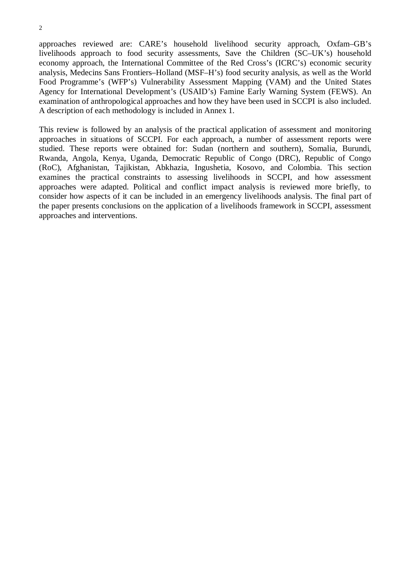$\overline{2}$ 

approaches reviewed are: CARE's household livelihood security approach, Oxfam–GB's livelihoods approach to food security assessments, Save the Children (SC–UK's) household economy approach, the International Committee of the Red Cross's (ICRC's) economic security analysis, Medecins Sans Frontiers–Holland (MSF–H's) food security analysis, as well as the World Food Programme's (WFP's) Vulnerability Assessment Mapping (VAM) and the United States Agency for International Development's (USAID's) Famine Early Warning System (FEWS). An examination of anthropological approaches and how they have been used in SCCPI is also included. A description of each methodology is included in Annex 1.

This review is followed by an analysis of the practical application of assessment and monitoring approaches in situations of SCCPI. For each approach, a number of assessment reports were studied. These reports were obtained for: Sudan (northern and southern), Somalia, Burundi, Rwanda, Angola, Kenya, Uganda, Democratic Republic of Congo (DRC), Republic of Congo (RoC), Afghanistan, Tajikistan, Abkhazia, Ingushetia, Kosovo, and Colombia. This section examines the practical constraints to assessing livelihoods in SCCPI, and how assessment approaches were adapted. Political and conflict impact analysis is reviewed more briefly, to consider how aspects of it can be included in an emergency livelihoods analysis. The final part of the paper presents conclusions on the application of a livelihoods framework in SCCPI, assessment approaches and interventions.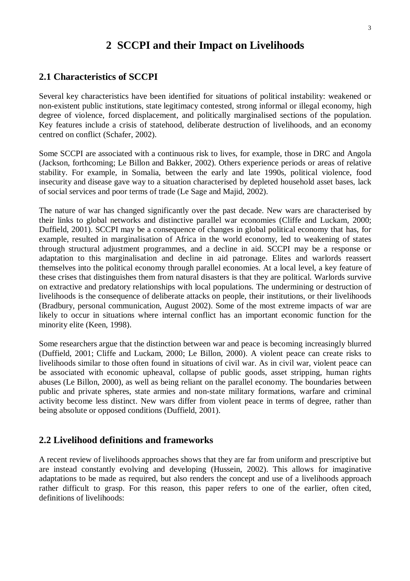# **2 SCCPI and their Impact on Livelihoods**

### **2.1 Characteristics of SCCPI**

Several key characteristics have been identified for situations of political instability: weakened or non-existent public institutions, state legitimacy contested, strong informal or illegal economy, high degree of violence, forced displacement, and politically marginalised sections of the population. Key features include a crisis of statehood, deliberate destruction of livelihoods, and an economy centred on conflict (Schafer, 2002).

Some SCCPI are associated with a continuous risk to lives, for example, those in DRC and Angola (Jackson, forthcoming; Le Billon and Bakker, 2002). Others experience periods or areas of relative stability. For example, in Somalia, between the early and late 1990s, political violence, food insecurity and disease gave way to a situation characterised by depleted household asset bases, lack of social services and poor terms of trade (Le Sage and Majid, 2002).

The nature of war has changed significantly over the past decade. New wars are characterised by their links to global networks and distinctive parallel war economies (Cliffe and Luckam, 2000; Duffield, 2001). SCCPI may be a consequence of changes in global political economy that has, for example, resulted in marginalisation of Africa in the world economy, led to weakening of states through structural adjustment programmes, and a decline in aid. SCCPI may be a response or adaptation to this marginalisation and decline in aid patronage. Elites and warlords reassert themselves into the political economy through parallel economies. At a local level, a key feature of these crises that distinguishes them from natural disasters is that they are political. Warlords survive on extractive and predatory relationships with local populations. The undermining or destruction of livelihoods is the consequence of deliberate attacks on people, their institutions, or their livelihoods (Bradbury, personal communication, August 2002). Some of the most extreme impacts of war are likely to occur in situations where internal conflict has an important economic function for the minority elite (Keen, 1998).

Some researchers argue that the distinction between war and peace is becoming increasingly blurred (Duffield, 2001; Cliffe and Luckam, 2000; Le Billon, 2000). A violent peace can create risks to livelihoods similar to those often found in situations of civil war. As in civil war, violent peace can be associated with economic upheaval, collapse of public goods, asset stripping, human rights abuses (Le Billon, 2000), as well as being reliant on the parallel economy. The boundaries between public and private spheres, state armies and non-state military formations, warfare and criminal activity become less distinct. New wars differ from violent peace in terms of degree, rather than being absolute or opposed conditions (Duffield, 2001).

#### **2.2 Livelihood definitions and frameworks**

A recent review of livelihoods approaches shows that they are far from uniform and prescriptive but are instead constantly evolving and developing (Hussein, 2002). This allows for imaginative adaptations to be made as required, but also renders the concept and use of a livelihoods approach rather difficult to grasp. For this reason, this paper refers to one of the earlier, often cited, definitions of livelihoods: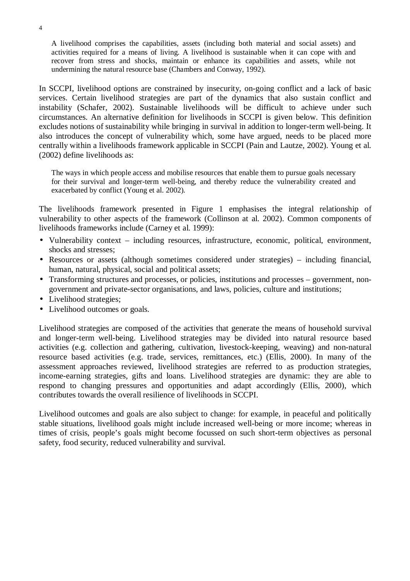A livelihood comprises the capabilities, assets (including both material and social assets) and activities required for a means of living. A livelihood is sustainable when it can cope with and recover from stress and shocks, maintain or enhance its capabilities and assets, while not undermining the natural resource base (Chambers and Conway, 1992).

In SCCPI, livelihood options are constrained by insecurity, on-going conflict and a lack of basic services. Certain livelihood strategies are part of the dynamics that also sustain conflict and instability (Schafer, 2002). Sustainable livelihoods will be difficult to achieve under such circumstances. An alternative definition for livelihoods in SCCPI is given below. This definition excludes notions of sustainability while bringing in survival in addition to longer-term well-being. It also introduces the concept of vulnerability which, some have argued, needs to be placed more centrally within a livelihoods framework applicable in SCCPI (Pain and Lautze, 2002). Young et al. (2002) define livelihoods as:

The ways in which people access and mobilise resources that enable them to pursue goals necessary for their survival and longer-term well-being, and thereby reduce the vulnerability created and exacerbated by conflict (Young et al. 2002).

The livelihoods framework presented in Figure 1 emphasises the integral relationship of vulnerability to other aspects of the framework (Collinson at al. 2002). Common components of livelihoods frameworks include (Carney et al. 1999):

- Vulnerability context including resources, infrastructure, economic, political, environment, shocks and stresses;
- Resources or assets (although sometimes considered under strategies) including financial, human, natural, physical, social and political assets;
- Transforming structures and processes, or policies, institutions and processes government, nongovernment and private-sector organisations, and laws, policies, culture and institutions;
- Livelihood strategies;
- Livelihood outcomes or goals.

Livelihood strategies are composed of the activities that generate the means of household survival and longer-term well-being. Livelihood strategies may be divided into natural resource based activities (e.g. collection and gathering, cultivation, livestock-keeping, weaving) and non-natural resource based activities (e.g. trade, services, remittances, etc.) (Ellis, 2000). In many of the assessment approaches reviewed, livelihood strategies are referred to as production strategies, income-earning strategies, gifts and loans. Livelihood strategies are dynamic: they are able to respond to changing pressures and opportunities and adapt accordingly (Ellis, 2000), which contributes towards the overall resilience of livelihoods in SCCPI.

Livelihood outcomes and goals are also subject to change: for example, in peaceful and politically stable situations, livelihood goals might include increased well-being or more income; whereas in times of crisis, people's goals might become focussed on such short-term objectives as personal safety, food security, reduced vulnerability and survival.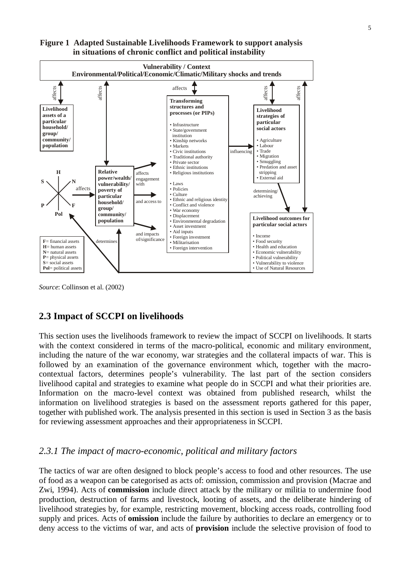

### **Figure 1 Adapted Sustainable Livelihoods Framework to support analysis in situations of chronic conflict and political instability**

*Source*: Collinson et al. (2002)

# **2.3 Impact of SCCPI on livelihoods**

This section uses the livelihoods framework to review the impact of SCCPI on livelihoods. It starts with the context considered in terms of the macro-political, economic and military environment, including the nature of the war economy, war strategies and the collateral impacts of war. This is followed by an examination of the governance environment which, together with the macrocontextual factors, determines people's vulnerability. The last part of the section considers livelihood capital and strategies to examine what people do in SCCPI and what their priorities are. Information on the macro-level context was obtained from published research, whilst the information on livelihood strategies is based on the assessment reports gathered for this paper, together with published work. The analysis presented in this section is used in Section 3 as the basis for reviewing assessment approaches and their appropriateness in SCCPI.

# *2.3.1 The impact of macro-economic, political and military factors*

The tactics of war are often designed to block people's access to food and other resources. The use of food as a weapon can be categorised as acts of: omission, commission and provision (Macrae and Zwi, 1994). Acts of **commission** include direct attack by the military or militia to undermine food production, destruction of farms and livestock, looting of assets, and the deliberate hindering of livelihood strategies by, for example, restricting movement, blocking access roads, controlling food supply and prices. Acts of **omission** include the failure by authorities to declare an emergency or to deny access to the victims of war, and acts of **provision** include the selective provision of food to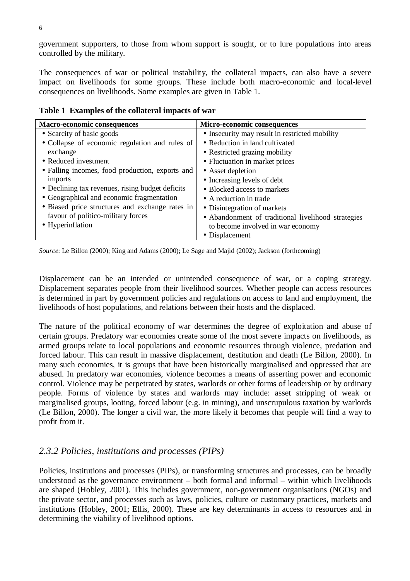government supporters, to those from whom support is sought, or to lure populations into areas controlled by the military.

The consequences of war or political instability, the collateral impacts, can also have a severe impact on livelihoods for some groups. These include both macro-economic and local-level consequences on livelihoods. Some examples are given in Table 1.

| <b>Macro-economic consequences</b>               | Micro-economic consequences                        |
|--------------------------------------------------|----------------------------------------------------|
| • Scarcity of basic goods                        | • Insecurity may result in restricted mobility     |
| • Collapse of economic regulation and rules of   | • Reduction in land cultivated                     |
| exchange                                         | • Restricted grazing mobility                      |
| • Reduced investment                             | • Fluctuation in market prices                     |
| • Falling incomes, food production, exports and  | • Asset depletion                                  |
| imports                                          | • Increasing levels of debt                        |
| • Declining tax revenues, rising budget deficits | • Blocked access to markets                        |
| • Geographical and economic fragmentation        | • A reduction in trade                             |
| • Biased price structures and exchange rates in  | • Disintegration of markets                        |
| favour of politico-military forces               | • Abandonment of traditional livelihood strategies |
| • Hyperinflation                                 | to become involved in war economy                  |
|                                                  | • Displacement                                     |

**Table 1 Examples of the collateral impacts of war**

*Source*: Le Billon (2000); King and Adams (2000); Le Sage and Majid (2002); Jackson (forthcoming)

Displacement can be an intended or unintended consequence of war, or a coping strategy. Displacement separates people from their livelihood sources. Whether people can access resources is determined in part by government policies and regulations on access to land and employment, the livelihoods of host populations, and relations between their hosts and the displaced.

The nature of the political economy of war determines the degree of exploitation and abuse of certain groups. Predatory war economies create some of the most severe impacts on livelihoods, as armed groups relate to local populations and economic resources through violence, predation and forced labour. This can result in massive displacement, destitution and death (Le Billon, 2000). In many such economies, it is groups that have been historically marginalised and oppressed that are abused. In predatory war economies, violence becomes a means of asserting power and economic control. Violence may be perpetrated by states, warlords or other forms of leadership or by ordinary people. Forms of violence by states and warlords may include: asset stripping of weak or marginalised groups, looting, forced labour (e.g. in mining), and unscrupulous taxation by warlords (Le Billon, 2000). The longer a civil war, the more likely it becomes that people will find a way to profit from it.

# *2.3.2 Policies, institutions and processes (PIPs)*

Policies, institutions and processes (PIPs), or transforming structures and processes, can be broadly understood as the governance environment – both formal and informal – within which livelihoods are shaped (Hobley, 2001). This includes government, non-government organisations (NGOs) and the private sector, and processes such as laws, policies, culture or customary practices, markets and institutions (Hobley, 2001; Ellis, 2000). These are key determinants in access to resources and in determining the viability of livelihood options.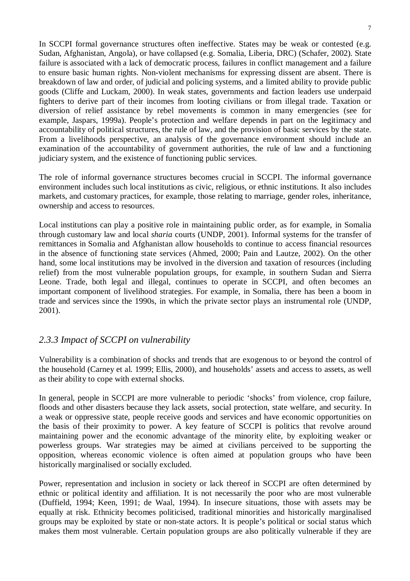In SCCPI formal governance structures often ineffective. States may be weak or contested (e.g. Sudan, Afghanistan, Angola), or have collapsed (e.g. Somalia, Liberia, DRC) (Schafer, 2002). State failure is associated with a lack of democratic process, failures in conflict management and a failure to ensure basic human rights. Non-violent mechanisms for expressing dissent are absent. There is breakdown of law and order, of judicial and policing systems, and a limited ability to provide public goods (Cliffe and Luckam, 2000). In weak states, governments and faction leaders use underpaid fighters to derive part of their incomes from looting civilians or from illegal trade. Taxation or diversion of relief assistance by rebel movements is common in many emergencies (see for example, Jaspars, 1999a). People's protection and welfare depends in part on the legitimacy and accountability of political structures, the rule of law, and the provision of basic services by the state. From a livelihoods perspective, an analysis of the governance environment should include an examination of the accountability of government authorities, the rule of law and a functioning judiciary system, and the existence of functioning public services.

The role of informal governance structures becomes crucial in SCCPI. The informal governance environment includes such local institutions as civic, religious, or ethnic institutions. It also includes markets, and customary practices, for example, those relating to marriage, gender roles, inheritance, ownership and access to resources.

Local institutions can play a positive role in maintaining public order, as for example, in Somalia through customary law and local *sharia* courts (UNDP, 2001). Informal systems for the transfer of remittances in Somalia and Afghanistan allow households to continue to access financial resources in the absence of functioning state services (Ahmed, 2000; Pain and Lautze, 2002). On the other hand, some local institutions may be involved in the diversion and taxation of resources (including relief) from the most vulnerable population groups, for example, in southern Sudan and Sierra Leone. Trade, both legal and illegal, continues to operate in SCCPI, and often becomes an important component of livelihood strategies. For example, in Somalia, there has been a boom in trade and services since the 1990s, in which the private sector plays an instrumental role (UNDP, 2001).

# *2.3.3 Impact of SCCPI on vulnerability*

Vulnerability is a combination of shocks and trends that are exogenous to or beyond the control of the household (Carney et al. 1999; Ellis, 2000), and households' assets and access to assets, as well as their ability to cope with external shocks.

In general, people in SCCPI are more vulnerable to periodic 'shocks' from violence, crop failure, floods and other disasters because they lack assets, social protection, state welfare, and security. In a weak or oppressive state, people receive goods and services and have economic opportunities on the basis of their proximity to power. A key feature of SCCPI is politics that revolve around maintaining power and the economic advantage of the minority elite, by exploiting weaker or powerless groups. War strategies may be aimed at civilians perceived to be supporting the opposition, whereas economic violence is often aimed at population groups who have been historically marginalised or socially excluded.

Power, representation and inclusion in society or lack thereof in SCCPI are often determined by ethnic or political identity and affiliation. It is not necessarily the poor who are most vulnerable (Duffield, 1994; Keen, 1991; de Waal, 1994). In insecure situations, those with assets may be equally at risk. Ethnicity becomes politicised, traditional minorities and historically marginalised groups may be exploited by state or non-state actors. It is people's political or social status which makes them most vulnerable. Certain population groups are also politically vulnerable if they are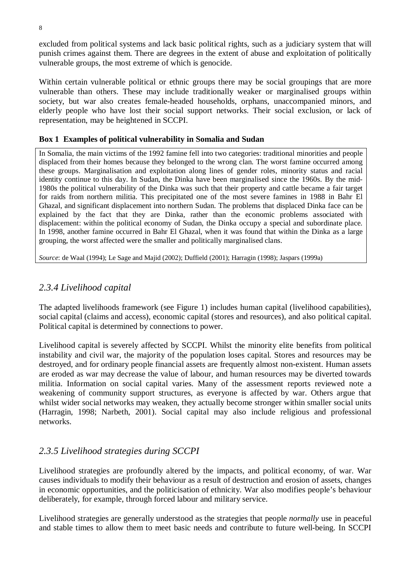excluded from political systems and lack basic political rights, such as a judiciary system that will punish crimes against them. There are degrees in the extent of abuse and exploitation of politically vulnerable groups, the most extreme of which is genocide.

Within certain vulnerable political or ethnic groups there may be social groupings that are more vulnerable than others. These may include traditionally weaker or marginalised groups within society, but war also creates female-headed households, orphans, unaccompanied minors, and elderly people who have lost their social support networks. Their social exclusion, or lack of representation, may be heightened in SCCPI.

### **Box 1 Examples of political vulnerability in Somalia and Sudan**

In Somalia, the main victims of the 1992 famine fell into two categories: traditional minorities and people displaced from their homes because they belonged to the wrong clan. The worst famine occurred among these groups. Marginalisation and exploitation along lines of gender roles, minority status and racial identity continue to this day. In Sudan, the Dinka have been marginalised since the 1960s. By the mid-1980s the political vulnerability of the Dinka was such that their property and cattle became a fair target for raids from northern militia. This precipitated one of the most severe famines in 1988 in Bahr El Ghazal, and significant displacement into northern Sudan. The problems that displaced Dinka face can be explained by the fact that they are Dinka, rather than the economic problems associated with displacement: within the political economy of Sudan, the Dinka occupy a special and subordinate place. In 1998, another famine occurred in Bahr El Ghazal, when it was found that within the Dinka as a large grouping, the worst affected were the smaller and politically marginalised clans.

*Source*: de Waal (1994); Le Sage and Majid (2002); Duffield (2001); Harragin (1998); Jaspars (1999a)

# *2.3.4 Livelihood capital*

The adapted livelihoods framework (see Figure 1) includes human capital (livelihood capabilities), social capital (claims and access), economic capital (stores and resources), and also political capital. Political capital is determined by connections to power.

Livelihood capital is severely affected by SCCPI. Whilst the minority elite benefits from political instability and civil war, the majority of the population loses capital. Stores and resources may be destroyed, and for ordinary people financial assets are frequently almost non-existent. Human assets are eroded as war may decrease the value of labour, and human resources may be diverted towards militia. Information on social capital varies. Many of the assessment reports reviewed note a weakening of community support structures, as everyone is affected by war. Others argue that whilst wider social networks may weaken, they actually become stronger within smaller social units (Harragin, 1998; Narbeth, 2001). Social capital may also include religious and professional networks.

# *2.3.5 Livelihood strategies during SCCPI*

Livelihood strategies are profoundly altered by the impacts, and political economy, of war. War causes individuals to modify their behaviour as a result of destruction and erosion of assets, changes in economic opportunities, and the politicisation of ethnicity. War also modifies people's behaviour deliberately, for example, through forced labour and military service.

Livelihood strategies are generally understood as the strategies that people *normally* use in peaceful and stable times to allow them to meet basic needs and contribute to future well-being. In SCCPI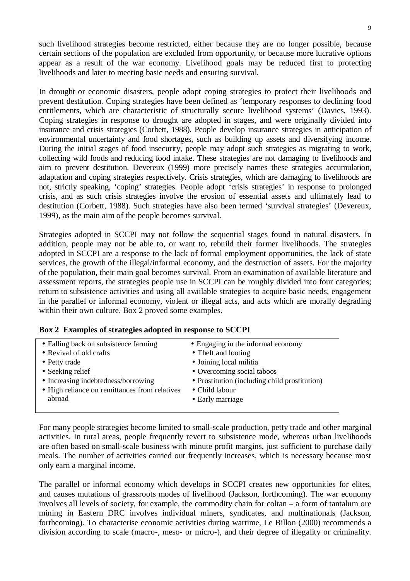such livelihood strategies become restricted, either because they are no longer possible, because certain sections of the population are excluded from opportunity, or because more lucrative options appear as a result of the war economy. Livelihood goals may be reduced first to protecting livelihoods and later to meeting basic needs and ensuring survival.

In drought or economic disasters, people adopt coping strategies to protect their livelihoods and prevent destitution. Coping strategies have been defined as 'temporary responses to declining food entitlements, which are characteristic of structurally secure livelihood systems' (Davies, 1993). Coping strategies in response to drought are adopted in stages, and were originally divided into insurance and crisis strategies (Corbett, 1988). People develop insurance strategies in anticipation of environmental uncertainty and food shortages, such as building up assets and diversifying income. During the initial stages of food insecurity, people may adopt such strategies as migrating to work, collecting wild foods and reducing food intake. These strategies are not damaging to livelihoods and aim to prevent destitution. Devereux (1999) more precisely names these strategies accumulation, adaptation and coping strategies respectively. Crisis strategies, which are damaging to livelihoods are not, strictly speaking, 'coping' strategies. People adopt 'crisis strategies' in response to prolonged crisis, and as such crisis strategies involve the erosion of essential assets and ultimately lead to destitution (Corbett, 1988). Such strategies have also been termed 'survival strategies' (Devereux, 1999), as the main aim of the people becomes survival.

Strategies adopted in SCCPI may not follow the sequential stages found in natural disasters. In addition, people may not be able to, or want to, rebuild their former livelihoods. The strategies adopted in SCCPI are a response to the lack of formal employment opportunities, the lack of state services, the growth of the illegal/informal economy, and the destruction of assets. For the majority of the population, their main goal becomes survival. From an examination of available literature and assessment reports, the strategies people use in SCCPI can be roughly divided into four categories; return to subsistence activities and using all available strategies to acquire basic needs, engagement in the parallel or informal economy, violent or illegal acts, and acts which are morally degrading within their own culture. Box 2 proved some examples.

| • Falling back on subsistence farming         | • Engaging in the informal economy            |
|-----------------------------------------------|-----------------------------------------------|
| • Revival of old crafts                       | • Theft and looting                           |
| • Petty trade                                 | • Joining local militia                       |
| $\bullet$ Seeking relief                      | • Overcoming social taboos                    |
| • Increasing indebtedness/borrowing           | • Prostitution (including child prostitution) |
| • High reliance on remittances from relatives | • Child labour                                |
| abroad                                        | • Early marriage                              |
|                                               |                                               |

#### **Box 2 Examples of strategies adopted in response to SCCPI**

For many people strategies become limited to small-scale production, petty trade and other marginal activities. In rural areas, people frequently revert to subsistence mode, whereas urban livelihoods are often based on small-scale business with minute profit margins, just sufficient to purchase daily meals. The number of activities carried out frequently increases, which is necessary because most only earn a marginal income.

The parallel or informal economy which develops in SCCPI creates new opportunities for elites, and causes mutations of grassroots modes of livelihood (Jackson, forthcoming). The war economy involves all levels of society, for example, the commodity chain for coltan – a form of tantalum ore mining in Eastern DRC involves individual miners, syndicates, and multinationals (Jackson, forthcoming). To characterise economic activities during wartime, Le Billon (2000) recommends a division according to scale (macro-, meso- or micro-), and their degree of illegality or criminality.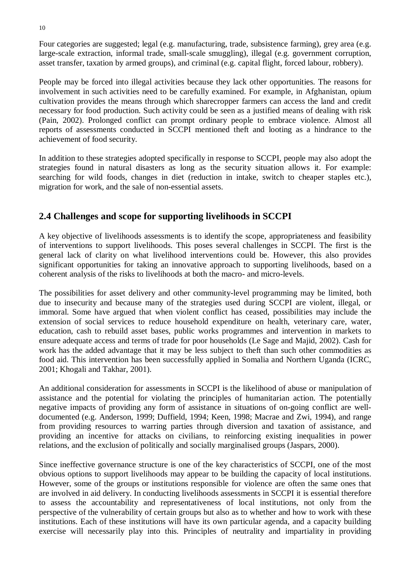Four categories are suggested; legal (e.g. manufacturing, trade, subsistence farming), grey area (e.g. large-scale extraction, informal trade, small-scale smuggling), illegal (e.g. government corruption, asset transfer, taxation by armed groups), and criminal (e.g. capital flight, forced labour, robbery).

People may be forced into illegal activities because they lack other opportunities. The reasons for involvement in such activities need to be carefully examined. For example, in Afghanistan, opium cultivation provides the means through which sharecropper farmers can access the land and credit necessary for food production. Such activity could be seen as a justified means of dealing with risk (Pain, 2002). Prolonged conflict can prompt ordinary people to embrace violence. Almost all reports of assessments conducted in SCCPI mentioned theft and looting as a hindrance to the achievement of food security.

In addition to these strategies adopted specifically in response to SCCPI, people may also adopt the strategies found in natural disasters as long as the security situation allows it. For example: searching for wild foods, changes in diet (reduction in intake, switch to cheaper staples etc.), migration for work, and the sale of non-essential assets.

# **2.4 Challenges and scope for supporting livelihoods in SCCPI**

A key objective of livelihoods assessments is to identify the scope, appropriateness and feasibility of interventions to support livelihoods. This poses several challenges in SCCPI. The first is the general lack of clarity on what livelihood interventions could be. However, this also provides significant opportunities for taking an innovative approach to supporting livelihoods, based on a coherent analysis of the risks to livelihoods at both the macro- and micro-levels.

The possibilities for asset delivery and other community-level programming may be limited, both due to insecurity and because many of the strategies used during SCCPI are violent, illegal, or immoral. Some have argued that when violent conflict has ceased, possibilities may include the extension of social services to reduce household expenditure on health, veterinary care, water, education, cash to rebuild asset bases, public works programmes and intervention in markets to ensure adequate access and terms of trade for poor households (Le Sage and Majid, 2002). Cash for work has the added advantage that it may be less subject to theft than such other commodities as food aid. This intervention has been successfully applied in Somalia and Northern Uganda (ICRC, 2001; Khogali and Takhar, 2001).

An additional consideration for assessments in SCCPI is the likelihood of abuse or manipulation of assistance and the potential for violating the principles of humanitarian action. The potentially negative impacts of providing any form of assistance in situations of on-going conflict are welldocumented (e.g. Anderson, 1999; Duffield, 1994; Keen, 1998; Macrae and Zwi, 1994), and range from providing resources to warring parties through diversion and taxation of assistance, and providing an incentive for attacks on civilians, to reinforcing existing inequalities in power relations, and the exclusion of politically and socially marginalised groups (Jaspars, 2000).

Since ineffective governance structure is one of the key characteristics of SCCPI, one of the most obvious options to support livelihoods may appear to be building the capacity of local institutions. However, some of the groups or institutions responsible for violence are often the same ones that are involved in aid delivery. In conducting livelihoods assessments in SCCPI it is essential therefore to assess the accountability and representativeness of local institutions, not only from the perspective of the vulnerability of certain groups but also as to whether and how to work with these institutions. Each of these institutions will have its own particular agenda, and a capacity building exercise will necessarily play into this. Principles of neutrality and impartiality in providing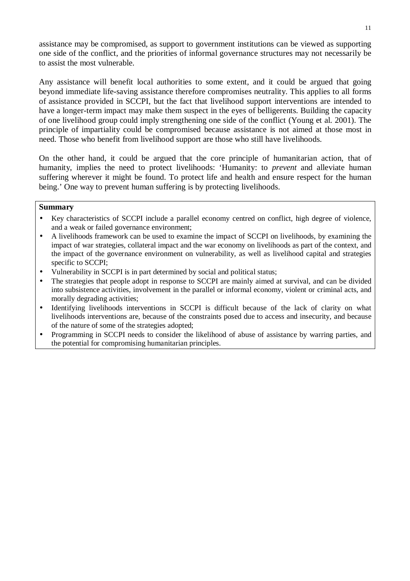assistance may be compromised, as support to government institutions can be viewed as supporting one side of the conflict, and the priorities of informal governance structures may not necessarily be to assist the most vulnerable.

Any assistance will benefit local authorities to some extent, and it could be argued that going beyond immediate life-saving assistance therefore compromises neutrality. This applies to all forms of assistance provided in SCCPI, but the fact that livelihood support interventions are intended to have a longer-term impact may make them suspect in the eyes of belligerents. Building the capacity of one livelihood group could imply strengthening one side of the conflict (Young et al. 2001). The principle of impartiality could be compromised because assistance is not aimed at those most in need. Those who benefit from livelihood support are those who still have livelihoods.

On the other hand, it could be argued that the core principle of humanitarian action, that of humanity, implies the need to protect livelihoods: 'Humanity: to *prevent* and alleviate human suffering wherever it might be found. To protect life and health and ensure respect for the human being.' One way to prevent human suffering is by protecting livelihoods.

### **Summary**

- Key characteristics of SCCPI include a parallel economy centred on conflict, high degree of violence, and a weak or failed governance environment;
- A livelihoods framework can be used to examine the impact of SCCPI on livelihoods, by examining the impact of war strategies, collateral impact and the war economy on livelihoods as part of the context, and the impact of the governance environment on vulnerability, as well as livelihood capital and strategies specific to SCCPI;
- Vulnerability in SCCPI is in part determined by social and political status;
- The strategies that people adopt in response to SCCPI are mainly aimed at survival, and can be divided into subsistence activities, involvement in the parallel or informal economy, violent or criminal acts, and morally degrading activities;
- Identifying livelihoods interventions in SCCPI is difficult because of the lack of clarity on what livelihoods interventions are, because of the constraints posed due to access and insecurity, and because of the nature of some of the strategies adopted;
- Programming in SCCPI needs to consider the likelihood of abuse of assistance by warring parties, and the potential for compromising humanitarian principles.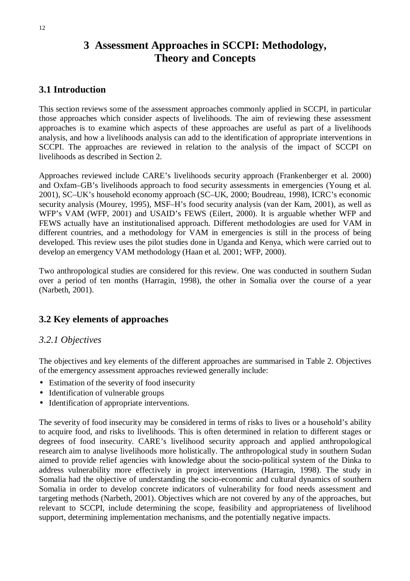# **3 Assessment Approaches in SCCPI: Methodology, Theory and Concepts**

# **3.1 Introduction**

This section reviews some of the assessment approaches commonly applied in SCCPI, in particular those approaches which consider aspects of livelihoods. The aim of reviewing these assessment approaches is to examine which aspects of these approaches are useful as part of a livelihoods analysis, and how a livelihoods analysis can add to the identification of appropriate interventions in SCCPI. The approaches are reviewed in relation to the analysis of the impact of SCCPI on livelihoods as described in Section 2.

Approaches reviewed include CARE's livelihoods security approach (Frankenberger et al. 2000) and Oxfam–GB's livelihoods approach to food security assessments in emergencies (Young et al. 2001), SC–UK's household economy approach (SC–UK, 2000; Boudreau, 1998), ICRC's economic security analysis (Mourey, 1995), MSF–H's food security analysis (van der Kam, 2001), as well as WFP's VAM (WFP, 2001) and USAID's FEWS (Eilert, 2000). It is arguable whether WFP and FEWS actually have an institutionalised approach. Different methodologies are used for VAM in different countries, and a methodology for VAM in emergencies is still in the process of being developed. This review uses the pilot studies done in Uganda and Kenya, which were carried out to develop an emergency VAM methodology (Haan et al. 2001; WFP, 2000).

Two anthropological studies are considered for this review. One was conducted in southern Sudan over a period of ten months (Harragin, 1998), the other in Somalia over the course of a year (Narbeth, 2001).

# **3.2 Key elements of approaches**

# *3.2.1 Objectives*

The objectives and key elements of the different approaches are summarised in Table 2. Objectives of the emergency assessment approaches reviewed generally include:

- Estimation of the severity of food insecurity
- Identification of vulnerable groups
- Identification of appropriate interventions.

The severity of food insecurity may be considered in terms of risks to lives or a household's ability to acquire food, and risks to livelihoods. This is often determined in relation to different stages or degrees of food insecurity. CARE's livelihood security approach and applied anthropological research aim to analyse livelihoods more holistically. The anthropological study in southern Sudan aimed to provide relief agencies with knowledge about the socio-political system of the Dinka to address vulnerability more effectively in project interventions (Harragin, 1998). The study in Somalia had the objective of understanding the socio-economic and cultural dynamics of southern Somalia in order to develop concrete indicators of vulnerability for food needs assessment and targeting methods (Narbeth, 2001). Objectives which are not covered by any of the approaches, but relevant to SCCPI, include determining the scope, feasibility and appropriateness of livelihood support, determining implementation mechanisms, and the potentially negative impacts.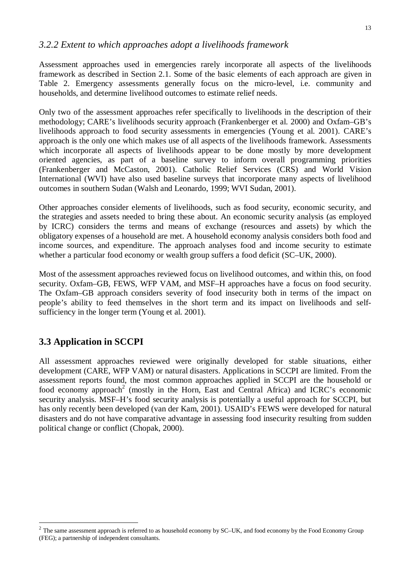### *3.2.2 Extent to which approaches adopt a livelihoods framework*

Assessment approaches used in emergencies rarely incorporate all aspects of the livelihoods framework as described in Section 2.1. Some of the basic elements of each approach are given in Table 2. Emergency assessments generally focus on the micro-level, i.e. community and households, and determine livelihood outcomes to estimate relief needs.

Only two of the assessment approaches refer specifically to livelihoods in the description of their methodology; CARE's livelihoods security approach (Frankenberger et al. 2000) and Oxfam–GB's livelihoods approach to food security assessments in emergencies (Young et al. 2001). CARE's approach is the only one which makes use of all aspects of the livelihoods framework. Assessments which incorporate all aspects of livelihoods appear to be done mostly by more development oriented agencies, as part of a baseline survey to inform overall programming priorities (Frankenberger and McCaston, 2001). Catholic Relief Services (CRS) and World Vision International (WVI) have also used baseline surveys that incorporate many aspects of livelihood outcomes in southern Sudan (Walsh and Leonardo, 1999; WVI Sudan, 2001).

Other approaches consider elements of livelihoods, such as food security, economic security, and the strategies and assets needed to bring these about. An economic security analysis (as employed by ICRC) considers the terms and means of exchange (resources and assets) by which the obligatory expenses of a household are met. A household economy analysis considers both food and income sources, and expenditure. The approach analyses food and income security to estimate whether a particular food economy or wealth group suffers a food deficit (SC–UK, 2000).

Most of the assessment approaches reviewed focus on livelihood outcomes, and within this, on food security. Oxfam–GB, FEWS, WFP VAM, and MSF–H approaches have a focus on food security. The Oxfam–GB approach considers severity of food insecurity both in terms of the impact on people's ability to feed themselves in the short term and its impact on livelihoods and selfsufficiency in the longer term (Young et al. 2001).

# **3.3 Application in SCCPI**

 $\overline{a}$ 

All assessment approaches reviewed were originally developed for stable situations, either development (CARE, WFP VAM) or natural disasters. Applications in SCCPI are limited. From the assessment reports found, the most common approaches applied in SCCPI are the household or food economy approach<sup>2</sup> (mostly in the Horn, East and Central Africa) and ICRC's economic security analysis. MSF–H's food security analysis is potentially a useful approach for SCCPI, but has only recently been developed (van der Kam, 2001). USAID's FEWS were developed for natural disasters and do not have comparative advantage in assessing food insecurity resulting from sudden political change or conflict (Chopak, 2000).

 $2$  The same assessment approach is referred to as household economy by SC–UK, and food economy by the Food Economy Group (FEG); a partnership of independent consultants.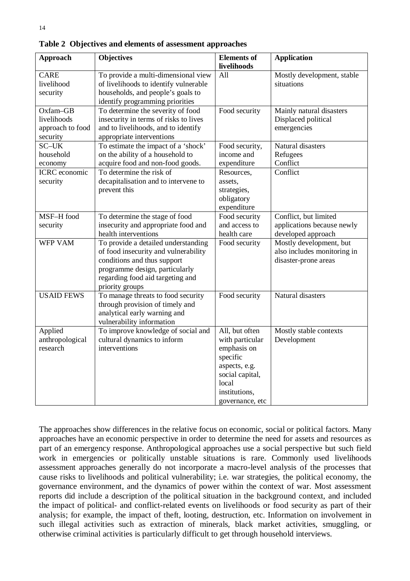| <b>Approach</b>                                         | <b>Objectives</b>                                                                                                                                                                                   | <b>Elements</b> of<br>livelihoods                                                                                                              | <b>Application</b>                                                             |
|---------------------------------------------------------|-----------------------------------------------------------------------------------------------------------------------------------------------------------------------------------------------------|------------------------------------------------------------------------------------------------------------------------------------------------|--------------------------------------------------------------------------------|
| <b>CARE</b><br>livelihood<br>security                   | To provide a multi-dimensional view<br>of livelihoods to identify vulnerable<br>households, and people's goals to<br>identify programming priorities                                                | All                                                                                                                                            | Mostly development, stable<br>situations                                       |
| Oxfam-GB<br>livelihoods<br>approach to food<br>security | To determine the severity of food<br>insecurity in terms of risks to lives<br>and to livelihoods, and to identify<br>appropriate interventions                                                      | Food security                                                                                                                                  | Mainly natural disasters<br>Displaced political<br>emergencies                 |
| SC-UK<br>household<br>economy                           | To estimate the impact of a 'shock'<br>on the ability of a household to<br>acquire food and non-food goods.                                                                                         | Food security,<br>income and<br>expenditure                                                                                                    | Natural disasters<br>Refugees<br>Conflict                                      |
| <b>ICRC</b> economic<br>security                        | To determine the risk of<br>decapitalisation and to intervene to<br>prevent this                                                                                                                    | Resources,<br>assets,<br>strategies,<br>obligatory<br>expenditure                                                                              | Conflict                                                                       |
| MSF-H food<br>security                                  | To determine the stage of food<br>insecurity and appropriate food and<br>health interventions                                                                                                       | Food security<br>and access to<br>health care                                                                                                  | Conflict, but limited<br>applications because newly<br>developed approach      |
| WFP VAM                                                 | To provide a detailed understanding<br>of food insecurity and vulnerability<br>conditions and thus support<br>programme design, particularly<br>regarding food aid targeting and<br>priority groups | Food security                                                                                                                                  | Mostly development, but<br>also includes monitoring in<br>disaster-prone areas |
| <b>USAID FEWS</b>                                       | To manage threats to food security<br>through provision of timely and<br>analytical early warning and<br>vulnerability information                                                                  | Food security                                                                                                                                  | Natural disasters                                                              |
| Applied<br>anthropological<br>research                  | To improve knowledge of social and<br>cultural dynamics to inform<br>interventions                                                                                                                  | All, but often<br>with particular<br>emphasis on<br>specific<br>aspects, e.g.<br>social capital,<br>local<br>institutions,<br>governance, etc. | Mostly stable contexts<br>Development                                          |

**Table 2 Objectives and elements of assessment approaches**

The approaches show differences in the relative focus on economic, social or political factors. Many approaches have an economic perspective in order to determine the need for assets and resources as part of an emergency response. Anthropological approaches use a social perspective but such field work in emergencies or politically unstable situations is rare. Commonly used livelihoods assessment approaches generally do not incorporate a macro-level analysis of the processes that cause risks to livelihoods and political vulnerability; i.e. war strategies, the political economy, the governance environment, and the dynamics of power within the context of war. Most assessment reports did include a description of the political situation in the background context, and included the impact of political- and conflict-related events on livelihoods or food security as part of their analysis; for example, the impact of theft, looting, destruction, etc. Information on involvement in such illegal activities such as extraction of minerals, black market activities, smuggling, or otherwise criminal activities is particularly difficult to get through household interviews.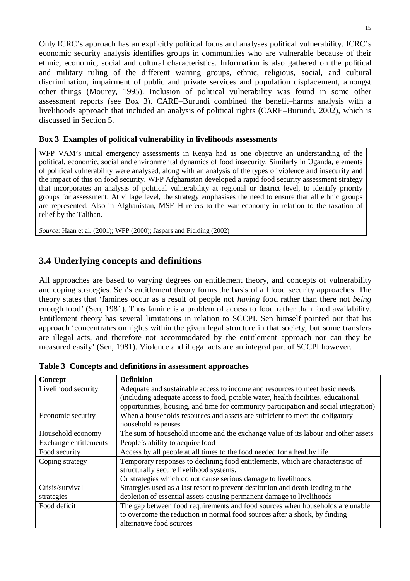Only ICRC's approach has an explicitly political focus and analyses political vulnerability. ICRC's economic security analysis identifies groups in communities who are vulnerable because of their ethnic, economic, social and cultural characteristics. Information is also gathered on the political and military ruling of the different warring groups, ethnic, religious, social, and cultural discrimination, impairment of public and private services and population displacement, amongst other things (Mourey, 1995). Inclusion of political vulnerability was found in some other assessment reports (see Box 3). CARE–Burundi combined the benefit–harms analysis with a livelihoods approach that included an analysis of political rights (CARE–Burundi, 2002), which is discussed in Section 5.

### **Box 3 Examples of political vulnerability in livelihoods assessments**

WFP VAM's initial emergency assessments in Kenya had as one objective an understanding of the political, economic, social and environmental dynamics of food insecurity. Similarly in Uganda, elements of political vulnerability were analysed, along with an analysis of the types of violence and insecurity and the impact of this on food security. WFP Afghanistan developed a rapid food security assessment strategy that incorporates an analysis of political vulnerability at regional or district level, to identify priority groups for assessment. At village level, the strategy emphasises the need to ensure that all ethnic groups are represented. Also in Afghanistan, MSF–H refers to the war economy in relation to the taxation of relief by the Taliban.

*Source*: Haan et al. (2001); WFP (2000); Jaspars and Fielding (2002)

# **3.4 Underlying concepts and definitions**

All approaches are based to varying degrees on entitlement theory, and concepts of vulnerability and coping strategies. Sen's entitlement theory forms the basis of all food security approaches. The theory states that 'famines occur as a result of people not *having* food rather than there not *being* enough food' (Sen, 1981). Thus famine is a problem of access to food rather than food availability. Entitlement theory has several limitations in relation to SCCPI. Sen himself pointed out that his approach 'concentrates on rights within the given legal structure in that society, but some transfers are illegal acts, and therefore not accommodated by the entitlement approach nor can they be measured easily' (Sen, 1981). Violence and illegal acts are an integral part of SCCPI however.

| Concept               | <b>Definition</b>                                                                                                                                                |  |
|-----------------------|------------------------------------------------------------------------------------------------------------------------------------------------------------------|--|
| Livelihood security   | Adequate and sustainable access to income and resources to meet basic needs<br>(including adequate access to food, potable water, health facilities, educational |  |
|                       | opportunities, housing, and time for community participation and social integration)                                                                             |  |
| Economic security     | When a households resources and assets are sufficient to meet the obligatory                                                                                     |  |
|                       | household expenses                                                                                                                                               |  |
| Household economy     | The sum of household income and the exchange value of its labour and other assets                                                                                |  |
| Exchange entitlements | People's ability to acquire food                                                                                                                                 |  |
| Food security         | Access by all people at all times to the food needed for a healthy life                                                                                          |  |
| Coping strategy       | Temporary responses to declining food entitlements, which are characteristic of                                                                                  |  |
|                       | structurally secure livelihood systems.                                                                                                                          |  |
|                       | Or strategies which do not cause serious damage to livelihoods                                                                                                   |  |
| Crisis/survival       | Strategies used as a last resort to prevent destitution and death leading to the                                                                                 |  |
| strategies            | depletion of essential assets causing permanent damage to livelihoods                                                                                            |  |
| Food deficit          | The gap between food requirements and food sources when households are unable                                                                                    |  |
|                       | to overcome the reduction in normal food sources after a shock, by finding                                                                                       |  |
|                       | alternative food sources                                                                                                                                         |  |

**Table 3 Concepts and definitions in assessment approaches**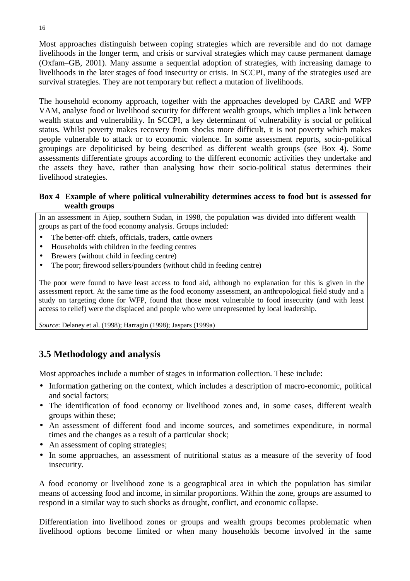Most approaches distinguish between coping strategies which are reversible and do not damage livelihoods in the longer term, and crisis or survival strategies which may cause permanent damage (Oxfam–GB, 2001). Many assume a sequential adoption of strategies, with increasing damage to livelihoods in the later stages of food insecurity or crisis. In SCCPI, many of the strategies used are survival strategies. They are not temporary but reflect a mutation of livelihoods.

The household economy approach, together with the approaches developed by CARE and WFP VAM, analyse food or livelihood security for different wealth groups, which implies a link between wealth status and vulnerability. In SCCPI, a key determinant of vulnerability is social or political status. Whilst poverty makes recovery from shocks more difficult, it is not poverty which makes people vulnerable to attack or to economic violence. In some assessment reports, socio-political groupings are depoliticised by being described as different wealth groups (see Box 4). Some assessments differentiate groups according to the different economic activities they undertake and the assets they have, rather than analysing how their socio-political status determines their livelihood strategies.

### **Box 4 Example of where political vulnerability determines access to food but is assessed for wealth groups**

In an assessment in Ajiep, southern Sudan, in 1998, the population was divided into different wealth groups as part of the food economy analysis. Groups included:

- The better-off: chiefs, officials, traders, cattle owners
- Households with children in the feeding centres
- Brewers (without child in feeding centre)
- The poor; firewood sellers/pounders (without child in feeding centre)

The poor were found to have least access to food aid, although no explanation for this is given in the assessment report. At the same time as the food economy assessment, an anthropological field study and a study on targeting done for WFP, found that those most vulnerable to food insecurity (and with least access to relief) were the displaced and people who were unrepresented by local leadership.

*Source*: Delaney et al. (1998); Harragin (1998); Jaspars (1999a)

# **3.5 Methodology and analysis**

Most approaches include a number of stages in information collection. These include:

- Information gathering on the context, which includes a description of macro-economic, political and social factors;
- The identification of food economy or livelihood zones and, in some cases, different wealth groups within these;
- An assessment of different food and income sources, and sometimes expenditure, in normal times and the changes as a result of a particular shock;
- An assessment of coping strategies;
- In some approaches, an assessment of nutritional status as a measure of the severity of food insecurity.

A food economy or livelihood zone is a geographical area in which the population has similar means of accessing food and income, in similar proportions. Within the zone, groups are assumed to respond in a similar way to such shocks as drought, conflict, and economic collapse.

Differentiation into livelihood zones or groups and wealth groups becomes problematic when livelihood options become limited or when many households become involved in the same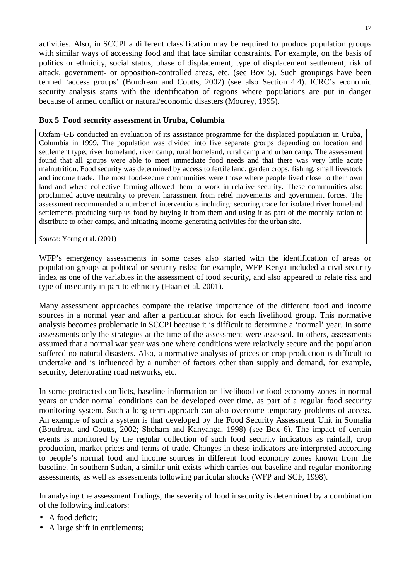activities. Also, in SCCPI a different classification may be required to produce population groups with similar ways of accessing food and that face similar constraints. For example, on the basis of politics or ethnicity, social status, phase of displacement, type of displacement settlement, risk of attack, government- or opposition-controlled areas, etc. (see Box 5). Such groupings have been termed 'access groups' (Boudreau and Coutts, 2002) (see also Section 4.4). ICRC's economic security analysis starts with the identification of regions where populations are put in danger because of armed conflict or natural/economic disasters (Mourey, 1995).

### **Box 5 Food security assessment in Uruba, Columbia**

Oxfam–GB conducted an evaluation of its assistance programme for the displaced population in Uruba, Columbia in 1999. The population was divided into five separate groups depending on location and settlement type; river homeland, river camp, rural homeland, rural camp and urban camp. The assessment found that all groups were able to meet immediate food needs and that there was very little acute malnutrition. Food security was determined by access to fertile land, garden crops, fishing, small livestock and income trade. The most food-secure communities were those where people lived close to their own land and where collective farming allowed them to work in relative security. These communities also proclaimed active neutrality to prevent harassment from rebel movements and government forces. The assessment recommended a number of interventions including: securing trade for isolated river homeland settlements producing surplus food by buying it from them and using it as part of the monthly ration to distribute to other camps, and initiating income-generating activities for the urban site.

*Source:* Young et al. (2001)

WFP's emergency assessments in some cases also started with the identification of areas or population groups at political or security risks; for example, WFP Kenya included a civil security index as one of the variables in the assessment of food security, and also appeared to relate risk and type of insecurity in part to ethnicity (Haan et al. 2001).

Many assessment approaches compare the relative importance of the different food and income sources in a normal year and after a particular shock for each livelihood group. This normative analysis becomes problematic in SCCPI because it is difficult to determine a 'normal' year. In some assessments only the strategies at the time of the assessment were assessed. In others, assessments assumed that a normal war year was one where conditions were relatively secure and the population suffered no natural disasters. Also, a normative analysis of prices or crop production is difficult to undertake and is influenced by a number of factors other than supply and demand, for example, security, deteriorating road networks, etc.

In some protracted conflicts, baseline information on livelihood or food economy zones in normal years or under normal conditions can be developed over time, as part of a regular food security monitoring system. Such a long-term approach can also overcome temporary problems of access. An example of such a system is that developed by the Food Security Assessment Unit in Somalia (Boudreau and Coutts, 2002; Shoham and Kanyanga, 1998) (see Box 6). The impact of certain events is monitored by the regular collection of such food security indicators as rainfall, crop production, market prices and terms of trade. Changes in these indicators are interpreted according to people's normal food and income sources in different food economy zones known from the baseline. In southern Sudan, a similar unit exists which carries out baseline and regular monitoring assessments, as well as assessments following particular shocks (WFP and SCF, 1998).

In analysing the assessment findings, the severity of food insecurity is determined by a combination of the following indicators:

- A food deficit;
- A large shift in entitlements;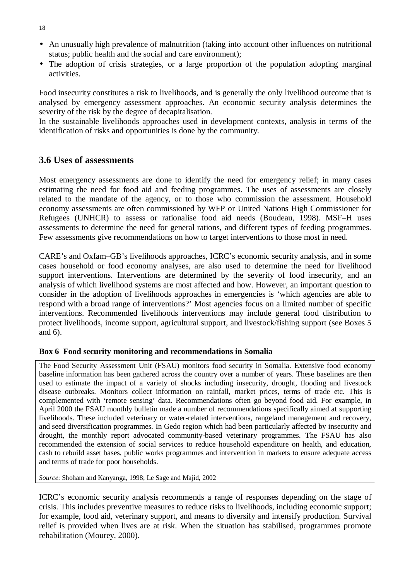- An unusually high prevalence of malnutrition (taking into account other influences on nutritional status; public health and the social and care environment);
- The adoption of crisis strategies, or a large proportion of the population adopting marginal activities.

Food insecurity constitutes a risk to livelihoods, and is generally the only livelihood outcome that is analysed by emergency assessment approaches. An economic security analysis determines the severity of the risk by the degree of decapitalisation.

In the sustainable livelihoods approaches used in development contexts, analysis in terms of the identification of risks and opportunities is done by the community.

### **3.6 Uses of assessments**

Most emergency assessments are done to identify the need for emergency relief; in many cases estimating the need for food aid and feeding programmes. The uses of assessments are closely related to the mandate of the agency, or to those who commission the assessment. Household economy assessments are often commissioned by WFP or United Nations High Commissioner for Refugees (UNHCR) to assess or rationalise food aid needs (Boudeau, 1998). MSF–H uses assessments to determine the need for general rations, and different types of feeding programmes. Few assessments give recommendations on how to target interventions to those most in need.

CARE's and Oxfam–GB's livelihoods approaches, ICRC's economic security analysis, and in some cases household or food economy analyses, are also used to determine the need for livelihood support interventions. Interventions are determined by the severity of food insecurity, and an analysis of which livelihood systems are most affected and how. However, an important question to consider in the adoption of livelihoods approaches in emergencies is 'which agencies are able to respond with a broad range of interventions?' Most agencies focus on a limited number of specific interventions. Recommended livelihoods interventions may include general food distribution to protect livelihoods, income support, agricultural support, and livestock/fishing support (see Boxes 5 and 6).

#### **Box 6 Food security monitoring and recommendations in Somalia**

The Food Security Assessment Unit (FSAU) monitors food security in Somalia. Extensive food economy baseline information has been gathered across the country over a number of years. These baselines are then used to estimate the impact of a variety of shocks including insecurity, drought, flooding and livestock disease outbreaks. Monitors collect information on rainfall, market prices, terms of trade etc. This is complemented with 'remote sensing' data. Recommendations often go beyond food aid. For example, in April 2000 the FSAU monthly bulletin made a number of recommendations specifically aimed at supporting livelihoods. These included veterinary or water-related interventions, rangeland management and recovery, and seed diversification programmes. In Gedo region which had been particularly affected by insecurity and drought, the monthly report advocated community-based veterinary programmes. The FSAU has also recommended the extension of social services to reduce household expenditure on health, and education, cash to rebuild asset bases, public works programmes and intervention in markets to ensure adequate access and terms of trade for poor households.

*Source*: Shoham and Kanyanga, 1998; Le Sage and Majid, 2002

ICRC's economic security analysis recommends a range of responses depending on the stage of crisis. This includes preventive measures to reduce risks to livelihoods, including economic support; for example, food aid, veterinary support, and means to diversify and intensify production. Survival relief is provided when lives are at risk. When the situation has stabilised, programmes promote rehabilitation (Mourey, 2000).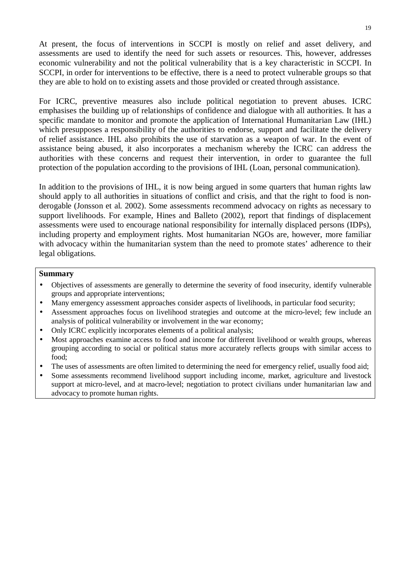At present, the focus of interventions in SCCPI is mostly on relief and asset delivery, and assessments are used to identify the need for such assets or resources. This, however, addresses economic vulnerability and not the political vulnerability that is a key characteristic in SCCPI. In SCCPI, in order for interventions to be effective, there is a need to protect vulnerable groups so that they are able to hold on to existing assets and those provided or created through assistance.

For ICRC, preventive measures also include political negotiation to prevent abuses. ICRC emphasises the building up of relationships of confidence and dialogue with all authorities. It has a specific mandate to monitor and promote the application of International Humanitarian Law (IHL) which presupposes a responsibility of the authorities to endorse, support and facilitate the delivery of relief assistance. IHL also prohibits the use of starvation as a weapon of war. In the event of assistance being abused, it also incorporates a mechanism whereby the ICRC can address the authorities with these concerns and request their intervention, in order to guarantee the full protection of the population according to the provisions of IHL (Loan, personal communication).

In addition to the provisions of IHL, it is now being argued in some quarters that human rights law should apply to all authorities in situations of conflict and crisis, and that the right to food is nonderogable (Jonsson et al. 2002). Some assessments recommend advocacy on rights as necessary to support livelihoods. For example, Hines and Balleto (2002), report that findings of displacement assessments were used to encourage national responsibility for internally displaced persons (IDPs), including property and employment rights. Most humanitarian NGOs are, however, more familiar with advocacy within the humanitarian system than the need to promote states' adherence to their legal obligations.

#### **Summary**

- Objectives of assessments are generally to determine the severity of food insecurity, identify vulnerable groups and appropriate interventions;
- Many emergency assessment approaches consider aspects of livelihoods, in particular food security;
- Assessment approaches focus on livelihood strategies and outcome at the micro-level; few include an analysis of political vulnerability or involvement in the war economy;
- Only ICRC explicitly incorporates elements of a political analysis;
- Most approaches examine access to food and income for different livelihood or wealth groups, whereas grouping according to social or political status more accurately reflects groups with similar access to food;
- The uses of assessments are often limited to determining the need for emergency relief, usually food aid;
- Some assessments recommend livelihood support including income, market, agriculture and livestock support at micro-level, and at macro-level; negotiation to protect civilians under humanitarian law and advocacy to promote human rights.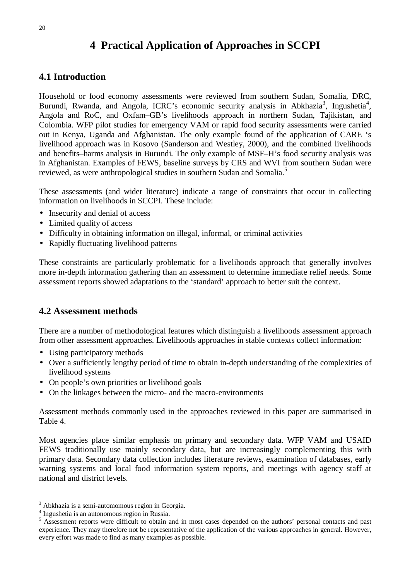# **4 Practical Application of Approaches in SCCPI**

# **4.1 Introduction**

Household or food economy assessments were reviewed from southern Sudan, Somalia, DRC, Burundi, Rwanda, and Angola, ICRC's economic security analysis in Abkhazia<sup>3</sup>, Ingushetia<sup>4</sup>, Angola and RoC, and Oxfam–GB's livelihoods approach in northern Sudan, Tajikistan, and Colombia. WFP pilot studies for emergency VAM or rapid food security assessments were carried out in Kenya, Uganda and Afghanistan. The only example found of the application of CARE 's livelihood approach was in Kosovo (Sanderson and Westley, 2000), and the combined livelihoods and benefits–harms analysis in Burundi. The only example of MSF–H's food security analysis was in Afghanistan. Examples of FEWS, baseline surveys by CRS and WVI from southern Sudan were reviewed, as were anthropological studies in southern Sudan and Somalia.<sup>5</sup>

These assessments (and wider literature) indicate a range of constraints that occur in collecting information on livelihoods in SCCPI. These include:

- Insecurity and denial of access
- Limited quality of access
- Difficulty in obtaining information on illegal, informal, or criminal activities
- Rapidly fluctuating livelihood patterns

These constraints are particularly problematic for a livelihoods approach that generally involves more in-depth information gathering than an assessment to determine immediate relief needs. Some assessment reports showed adaptations to the 'standard' approach to better suit the context.

# **4.2 Assessment methods**

There are a number of methodological features which distinguish a livelihoods assessment approach from other assessment approaches. Livelihoods approaches in stable contexts collect information:

- Using participatory methods
- Over a sufficiently lengthy period of time to obtain in-depth understanding of the complexities of livelihood systems
- On people's own priorities or livelihood goals
- On the linkages between the micro- and the macro-environments

Assessment methods commonly used in the approaches reviewed in this paper are summarised in Table 4.

Most agencies place similar emphasis on primary and secondary data. WFP VAM and USAID FEWS traditionally use mainly secondary data, but are increasingly complementing this with primary data. Secondary data collection includes literature reviews, examination of databases, early warning systems and local food information system reports, and meetings with agency staff at national and district levels.

 $\overline{a}$ 

<sup>&</sup>lt;sup>3</sup> Abkhazia is a semi-automomous region in Georgia.

<sup>4</sup> Ingushetia is an autonomous region in Russia.

<sup>&</sup>lt;sup>5</sup> Assessment reports were difficult to obtain and in most cases depended on the authors' personal contacts and past experience. They may therefore not be representative of the application of the various approaches in general. However, every effort was made to find as many examples as possible.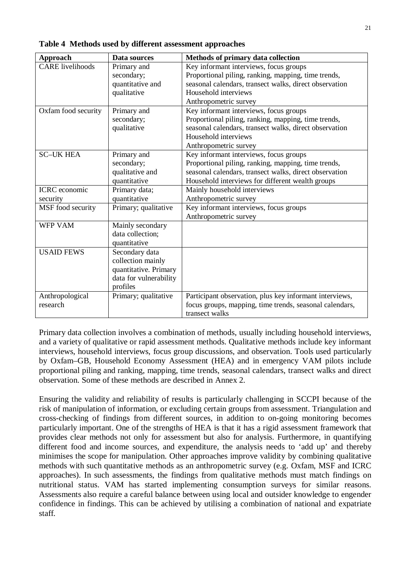| <b>Approach</b>         | Data sources           | Methods of primary data collection                      |
|-------------------------|------------------------|---------------------------------------------------------|
| <b>CARE</b> livelihoods | Primary and            | Key informant interviews, focus groups                  |
|                         | secondary;             | Proportional piling, ranking, mapping, time trends,     |
|                         | quantitative and       | seasonal calendars, transect walks, direct observation  |
|                         | qualitative            | Household interviews                                    |
|                         |                        | Anthropometric survey                                   |
| Oxfam food security     | Primary and            | Key informant interviews, focus groups                  |
|                         | secondary;             | Proportional piling, ranking, mapping, time trends,     |
|                         | qualitative            | seasonal calendars, transect walks, direct observation  |
|                         |                        | Household interviews                                    |
|                         |                        | Anthropometric survey                                   |
| <b>SC-UK HEA</b>        | Primary and            | Key informant interviews, focus groups                  |
|                         | secondary;             | Proportional piling, ranking, mapping, time trends,     |
|                         | qualitative and        | seasonal calendars, transect walks, direct observation  |
|                         | quantitative           | Household interviews for different wealth groups        |
| <b>ICRC</b> economic    | Primary data;          | Mainly household interviews                             |
| security                | quantitative           | Anthropometric survey                                   |
| MSF food security       | Primary; qualitative   | Key informant interviews, focus groups                  |
|                         |                        | Anthropometric survey                                   |
| <b>WFP VAM</b>          | Mainly secondary       |                                                         |
|                         | data collection;       |                                                         |
|                         | quantitative           |                                                         |
| <b>USAID FEWS</b>       | Secondary data         |                                                         |
|                         | collection mainly      |                                                         |
|                         | quantitative. Primary  |                                                         |
|                         | data for vulnerability |                                                         |
|                         | profiles               |                                                         |
| Anthropological         | Primary; qualitative   | Participant observation, plus key informant interviews, |
| research                |                        | focus groups, mapping, time trends, seasonal calendars, |
|                         |                        | transect walks                                          |

**Table 4 Methods used by different assessment approaches**

Primary data collection involves a combination of methods, usually including household interviews, and a variety of qualitative or rapid assessment methods. Qualitative methods include key informant interviews, household interviews, focus group discussions, and observation. Tools used particularly by Oxfam–GB, Household Economy Assessment (HEA) and in emergency VAM pilots include proportional piling and ranking, mapping, time trends, seasonal calendars, transect walks and direct observation. Some of these methods are described in Annex 2.

Ensuring the validity and reliability of results is particularly challenging in SCCPI because of the risk of manipulation of information, or excluding certain groups from assessment. Triangulation and cross-checking of findings from different sources, in addition to on-going monitoring becomes particularly important. One of the strengths of HEA is that it has a rigid assessment framework that provides clear methods not only for assessment but also for analysis. Furthermore, in quantifying different food and income sources, and expenditure, the analysis needs to 'add up' and thereby minimises the scope for manipulation. Other approaches improve validity by combining qualitative methods with such quantitative methods as an anthropometric survey (e.g. Oxfam, MSF and ICRC approaches). In such assessments, the findings from qualitative methods must match findings on nutritional status. VAM has started implementing consumption surveys for similar reasons. Assessments also require a careful balance between using local and outsider knowledge to engender confidence in findings. This can be achieved by utilising a combination of national and expatriate staff.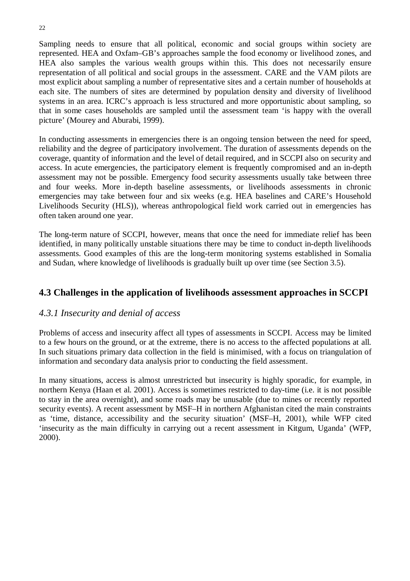Sampling needs to ensure that all political, economic and social groups within society are represented. HEA and Oxfam–GB's approaches sample the food economy or livelihood zones, and HEA also samples the various wealth groups within this. This does not necessarily ensure representation of all political and social groups in the assessment. CARE and the VAM pilots are most explicit about sampling a number of representative sites and a certain number of households at each site. The numbers of sites are determined by population density and diversity of livelihood systems in an area. ICRC's approach is less structured and more opportunistic about sampling, so that in some cases households are sampled until the assessment team 'is happy with the overall picture' (Mourey and Aburabi, 1999).

In conducting assessments in emergencies there is an ongoing tension between the need for speed, reliability and the degree of participatory involvement. The duration of assessments depends on the coverage, quantity of information and the level of detail required, and in SCCPI also on security and access. In acute emergencies, the participatory element is frequently compromised and an in-depth assessment may not be possible. Emergency food security assessments usually take between three and four weeks. More in-depth baseline assessments, or livelihoods assessments in chronic emergencies may take between four and six weeks (e.g. HEA baselines and CARE's Household Livelihoods Security (HLS)), whereas anthropological field work carried out in emergencies has often taken around one year.

The long-term nature of SCCPI, however, means that once the need for immediate relief has been identified, in many politically unstable situations there may be time to conduct in-depth livelihoods assessments. Good examples of this are the long-term monitoring systems established in Somalia and Sudan, where knowledge of livelihoods is gradually built up over time (see Section 3.5).

# **4.3 Challenges in the application of livelihoods assessment approaches in SCCPI**

# *4.3.1 Insecurity and denial of access*

Problems of access and insecurity affect all types of assessments in SCCPI. Access may be limited to a few hours on the ground, or at the extreme, there is no access to the affected populations at all. In such situations primary data collection in the field is minimised, with a focus on triangulation of information and secondary data analysis prior to conducting the field assessment.

In many situations, access is almost unrestricted but insecurity is highly sporadic, for example, in northern Kenya (Haan et al. 2001). Access is sometimes restricted to day-time (i.e. it is not possible to stay in the area overnight), and some roads may be unusable (due to mines or recently reported security events). A recent assessment by MSF–H in northern Afghanistan cited the main constraints as 'time, distance, accessibility and the security situation' (MSF–H, 2001), while WFP cited 'insecurity as the main difficulty in carrying out a recent assessment in Kitgum, Uganda' (WFP, 2000).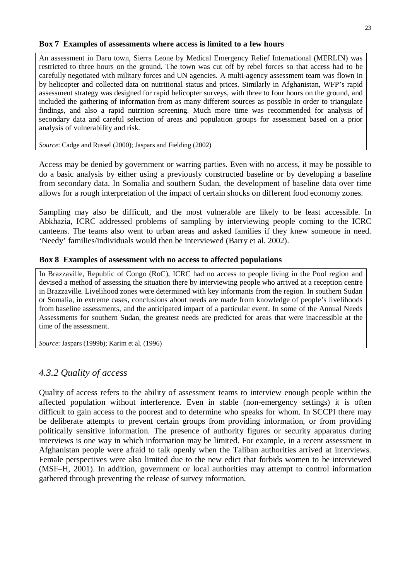#### **Box 7 Examples of assessments where access is limited to a few hours**

An assessment in Daru town, Sierra Leone by Medical Emergency Relief International (MERLIN) was restricted to three hours on the ground. The town was cut off by rebel forces so that access had to be carefully negotiated with military forces and UN agencies. A multi-agency assessment team was flown in by helicopter and collected data on nutritional status and prices. Similarly in Afghanistan, WFP's rapid assessment strategy was designed for rapid helicopter surveys, with three to four hours on the ground, and included the gathering of information from as many different sources as possible in order to triangulate findings, and also a rapid nutrition screening. Much more time was recommended for analysis of secondary data and careful selection of areas and population groups for assessment based on a prior analysis of vulnerability and risk.

*Source*: Cadge and Russel (2000); Jaspars and Fielding (2002)

Access may be denied by government or warring parties. Even with no access, it may be possible to do a basic analysis by either using a previously constructed baseline or by developing a baseline from secondary data. In Somalia and southern Sudan, the development of baseline data over time allows for a rough interpretation of the impact of certain shocks on different food economy zones.

Sampling may also be difficult, and the most vulnerable are likely to be least accessible. In Abkhazia, ICRC addressed problems of sampling by interviewing people coming to the ICRC canteens. The teams also went to urban areas and asked families if they knew someone in need. 'Needy' families/individuals would then be interviewed (Barry et al. 2002).

### **Box 8 Examples of assessment with no access to affected populations**

In Brazzaville, Republic of Congo (RoC), ICRC had no access to people living in the Pool region and devised a method of assessing the situation there by interviewing people who arrived at a reception centre in Brazzaville. Livelihood zones were determined with key informants from the region. In southern Sudan or Somalia, in extreme cases, conclusions about needs are made from knowledge of people's livelihoods from baseline assessments, and the anticipated impact of a particular event. In some of the Annual Needs Assessments for southern Sudan, the greatest needs are predicted for areas that were inaccessible at the time of the assessment.

*Source*: Jaspars (1999b); Karim et al. (1996)

# *4.3.2 Quality of access*

Quality of access refers to the ability of assessment teams to interview enough people within the affected population without interference. Even in stable (non-emergency settings) it is often difficult to gain access to the poorest and to determine who speaks for whom. In SCCPI there may be deliberate attempts to prevent certain groups from providing information, or from providing politically sensitive information. The presence of authority figures or security apparatus during interviews is one way in which information may be limited. For example, in a recent assessment in Afghanistan people were afraid to talk openly when the Taliban authorities arrived at interviews. Female perspectives were also limited due to the new edict that forbids women to be interviewed (MSF–H, 2001). In addition, government or local authorities may attempt to control information gathered through preventing the release of survey information.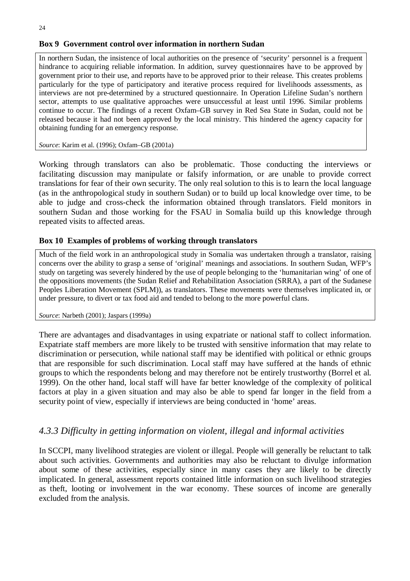#### 24

#### **Box 9 Government control over information in northern Sudan**

In northern Sudan, the insistence of local authorities on the presence of 'security' personnel is a frequent hindrance to acquiring reliable information. In addition, survey questionnaires have to be approved by government prior to their use, and reports have to be approved prior to their release. This creates problems particularly for the type of participatory and iterative process required for livelihoods assessments, as interviews are not pre-determined by a structured questionnaire. In Operation Lifeline Sudan's northern sector, attempts to use qualitative approaches were unsuccessful at least until 1996. Similar problems continue to occur. The findings of a recent Oxfam–GB survey in Red Sea State in Sudan, could not be released because it had not been approved by the local ministry. This hindered the agency capacity for obtaining funding for an emergency response.

*Source*: Karim et al. (1996); Oxfam–GB (2001a)

Working through translators can also be problematic. Those conducting the interviews or facilitating discussion may manipulate or falsify information, or are unable to provide correct translations for fear of their own security. The only real solution to this is to learn the local language (as in the anthropological study in southern Sudan) or to build up local knowledge over time, to be able to judge and cross-check the information obtained through translators. Field monitors in southern Sudan and those working for the FSAU in Somalia build up this knowledge through repeated visits to affected areas.

#### **Box 10 Examples of problems of working through translators**

Much of the field work in an anthropological study in Somalia was undertaken through a translator, raising concerns over the ability to grasp a sense of 'original' meanings and associations. In southern Sudan, WFP's study on targeting was severely hindered by the use of people belonging to the 'humanitarian wing' of one of the oppositions movements (the Sudan Relief and Rehabilitation Association (SRRA), a part of the Sudanese Peoples Liberation Movement (SPLM)), as translators. These movements were themselves implicated in, or under pressure, to divert or tax food aid and tended to belong to the more powerful clans.

*Source*: Narbeth (2001); Jaspars (1999a)

There are advantages and disadvantages in using expatriate or national staff to collect information. Expatriate staff members are more likely to be trusted with sensitive information that may relate to discrimination or persecution, while national staff may be identified with political or ethnic groups that are responsible for such discrimination. Local staff may have suffered at the hands of ethnic groups to which the respondents belong and may therefore not be entirely trustworthy (Borrel et al. 1999). On the other hand, local staff will have far better knowledge of the complexity of political factors at play in a given situation and may also be able to spend far longer in the field from a security point of view, especially if interviews are being conducted in 'home' areas.

# *4.3.3 Difficulty in getting information on violent, illegal and informal activities*

In SCCPI, many livelihood strategies are violent or illegal. People will generally be reluctant to talk about such activities. Governments and authorities may also be reluctant to divulge information about some of these activities, especially since in many cases they are likely to be directly implicated. In general, assessment reports contained little information on such livelihood strategies as theft, looting or involvement in the war economy. These sources of income are generally excluded from the analysis.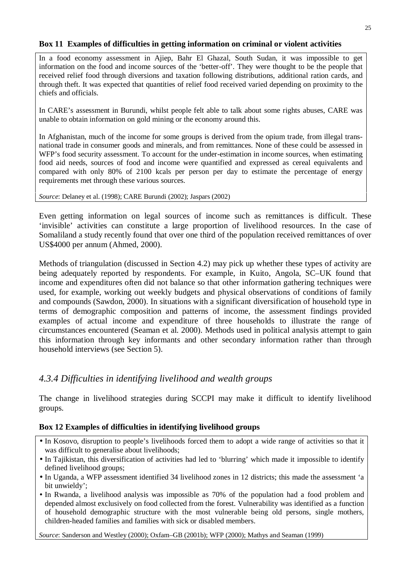#### **Box 11 Examples of difficulties in getting information on criminal or violent activities**

In a food economy assessment in Ajiep, Bahr El Ghazal, South Sudan, it was impossible to get information on the food and income sources of the 'better-off'. They were thought to be the people that received relief food through diversions and taxation following distributions, additional ration cards, and through theft. It was expected that quantities of relief food received varied depending on proximity to the chiefs and officials.

In CARE's assessment in Burundi, whilst people felt able to talk about some rights abuses, CARE was unable to obtain information on gold mining or the economy around this.

In Afghanistan, much of the income for some groups is derived from the opium trade, from illegal transnational trade in consumer goods and minerals, and from remittances. None of these could be assessed in WFP's food security assessment. To account for the under-estimation in income sources, when estimating food aid needs, sources of food and income were quantified and expressed as cereal equivalents and compared with only 80% of 2100 kcals per person per day to estimate the percentage of energy requirements met through these various sources.

*Source*: Delaney et al. (1998); CARE Burundi (2002); Jaspars (2002)

Even getting information on legal sources of income such as remittances is difficult. These 'invisible' activities can constitute a large proportion of livelihood resources. In the case of Somaliland a study recently found that over one third of the population received remittances of over US\$4000 per annum (Ahmed, 2000).

Methods of triangulation (discussed in Section 4.2) may pick up whether these types of activity are being adequately reported by respondents. For example, in Kuito, Angola, SC–UK found that income and expenditures often did not balance so that other information gathering techniques were used, for example, working out weekly budgets and physical observations of conditions of family and compounds (Sawdon, 2000). In situations with a significant diversification of household type in terms of demographic composition and patterns of income, the assessment findings provided examples of actual income and expenditure of three households to illustrate the range of circumstances encountered (Seaman et al. 2000). Methods used in political analysis attempt to gain this information through key informants and other secondary information rather than through household interviews (see Section 5).

# *4.3.4 Difficulties in identifying livelihood and wealth groups*

The change in livelihood strategies during SCCPI may make it difficult to identify livelihood groups.

### **Box 12 Examples of difficulties in identifying livelihood groups**

- In Kosovo, disruption to people's livelihoods forced them to adopt a wide range of activities so that it was difficult to generalise about livelihoods;
- In Tajikistan, this diversification of activities had led to 'blurring' which made it impossible to identify defined livelihood groups;
- In Uganda, a WFP assessment identified 34 livelihood zones in 12 districts; this made the assessment 'a bit unwieldy';
- In Rwanda, a livelihood analysis was impossible as 70% of the population had a food problem and depended almost exclusively on food collected from the forest. Vulnerability was identified as a function of household demographic structure with the most vulnerable being old persons, single mothers, children-headed families and families with sick or disabled members.

*Source*: Sanderson and Westley (2000); Oxfam–GB (2001b); WFP (2000); Mathys and Seaman (1999)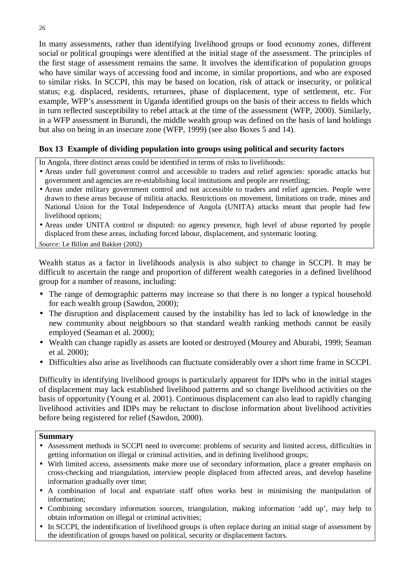In many assessments, rather than identifying livelihood groups or food economy zones, different social or political groupings were identified at the initial stage of the assessment. The principles of the first stage of assessment remains the same. It involves the identification of population groups who have similar ways of accessing food and income, in similar proportions, and who are exposed to similar risks. In SCCPI, this may be based on location, risk of attack or insecurity, or political status; e.g. displaced, residents, returnees, phase of displacement, type of settlement, etc. For example, WFP's assessment in Uganda identified groups on the basis of their access to fields which in turn reflected susceptibility to rebel attack at the time of the assessment (WFP, 2000). Similarly, in a WFP assessment in Burundi, the middle wealth group was defined on the basis of land holdings but also on being in an insecure zone (WFP, 1999) (see also Boxes 5 and 14).

### **Box 13 Example of dividing population into groups using political and security factors**

In Angola, three distinct areas could be identified in terms of risks to livelihoods:

- Areas under full government control and accessible to traders and relief agencies: sporadic attacks but government and agencies are re-establishing local institutions and people are resettling;
- Areas under military government control and not accessible to traders and relief agencies. People were drawn to these areas because of militia attacks. Restrictions on movement, limitations on trade, mines and National Union for the Total Independence of Angola (UNITA) attacks meant that people had few livelihood options;
- Areas under UNITA control or disputed: no agency presence, high level of abuse reported by people displaced from these areas, including forced labour, displacement, and systematic looting.

*Source:* Le Billon and Bakker (2002)

Wealth status as a factor in livelihoods analysis is also subject to change in SCCPI. It may be difficult to ascertain the range and proportion of different wealth categories in a defined livelihood group for a number of reasons, including:

- The range of demographic patterns may increase so that there is no longer a typical household for each wealth group (Sawdon, 2000);
- The disruption and displacement caused by the instability has led to lack of knowledge in the new community about neighbours so that standard wealth ranking methods cannot be easily employed (Seaman et al. 2000);
- Wealth can change rapidly as assets are looted or destroyed (Mourey and Aburabi, 1999; Seaman et al. 2000);
- Difficulties also arise as livelihoods can fluctuate considerably over a short time frame in SCCPI.

Difficulty in identifying livelihood groups is particularly apparent for IDPs who in the initial stages of displacement may lack established livelihood patterns and so change livelihood activities on the basis of opportunity (Young et al. 2001). Continuous displacement can also lead to rapidly changing livelihood activities and IDPs may be reluctant to disclose information about livelihood activities before being registered for relief (Sawdon, 2000).

#### **Summary**

- Assessment methods in SCCPI need to overcome: problems of security and limited access, difficulties in getting information on illegal or criminal activities, and in defining livelihood groups;
- With limited access, assessments make more use of secondary information, place a greater emphasis on cross-checking and triangulation, interview people displaced from affected areas, and develop baseline information gradually over time;
- A combination of local and expatriate staff often works best in minimising the manipulation of information;
- Combining secondary information sources, triangulation, making information 'add up', may help to obtain information on illegal or criminal activities;
- In SCCPI, the indentification of livelihood groups is often replace during an initial stage of assessment by the identification of groups based on political, security or displacement factors.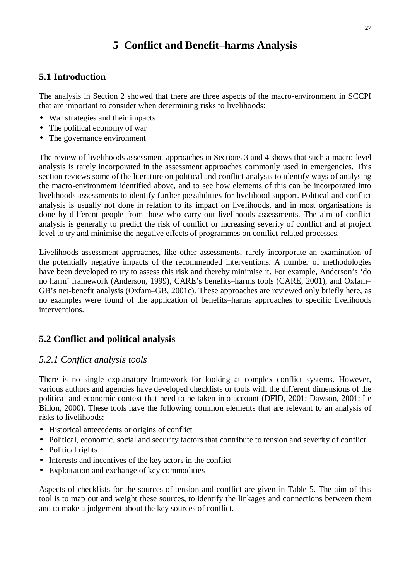# **5 Conflict and Benefit–harms Analysis**

# **5.1 Introduction**

The analysis in Section 2 showed that there are three aspects of the macro-environment in SCCPI that are important to consider when determining risks to livelihoods:

- War strategies and their impacts
- The political economy of war
- The governance environment

The review of livelihoods assessment approaches in Sections 3 and 4 shows that such a macro-level analysis is rarely incorporated in the assessment approaches commonly used in emergencies. This section reviews some of the literature on political and conflict analysis to identify ways of analysing the macro-environment identified above, and to see how elements of this can be incorporated into livelihoods assessments to identify further possibilities for livelihood support. Political and conflict analysis is usually not done in relation to its impact on livelihoods, and in most organisations is done by different people from those who carry out livelihoods assessments. The aim of conflict analysis is generally to predict the risk of conflict or increasing severity of conflict and at project level to try and minimise the negative effects of programmes on conflict-related processes.

Livelihoods assessment approaches, like other assessments, rarely incorporate an examination of the potentially negative impacts of the recommended interventions. A number of methodologies have been developed to try to assess this risk and thereby minimise it. For example, Anderson's 'do no harm' framework (Anderson, 1999), CARE's benefits–harms tools (CARE, 2001), and Oxfam– GB's net-benefit analysis (Oxfam–GB, 2001c). These approaches are reviewed only briefly here, as no examples were found of the application of benefits–harms approaches to specific livelihoods interventions.

# **5.2 Conflict and political analysis**

# *5.2.1 Conflict analysis tools*

There is no single explanatory framework for looking at complex conflict systems. However, various authors and agencies have developed checklists or tools with the different dimensions of the political and economic context that need to be taken into account (DFID, 2001; Dawson, 2001; Le Billon, 2000). These tools have the following common elements that are relevant to an analysis of risks to livelihoods:

- Historical antecedents or origins of conflict
- Political, economic, social and security factors that contribute to tension and severity of conflict
- Political rights
- Interests and incentives of the key actors in the conflict
- Exploitation and exchange of key commodities

Aspects of checklists for the sources of tension and conflict are given in Table 5. The aim of this tool is to map out and weight these sources, to identify the linkages and connections between them and to make a judgement about the key sources of conflict.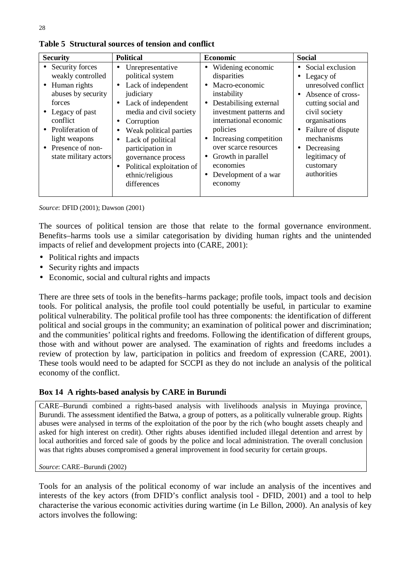| <b>Security</b>                                                                                                                                                                                                           | <b>Political</b>                                                                                                                                                                                                                                                                                                                                                                  | <b>Economic</b>                                                                                                                                                                                                                                                                                                                                                     | <b>Social</b>                                                                                                                                                                                                                                                            |
|---------------------------------------------------------------------------------------------------------------------------------------------------------------------------------------------------------------------------|-----------------------------------------------------------------------------------------------------------------------------------------------------------------------------------------------------------------------------------------------------------------------------------------------------------------------------------------------------------------------------------|---------------------------------------------------------------------------------------------------------------------------------------------------------------------------------------------------------------------------------------------------------------------------------------------------------------------------------------------------------------------|--------------------------------------------------------------------------------------------------------------------------------------------------------------------------------------------------------------------------------------------------------------------------|
| Security forces<br>$\bullet$<br>weakly controlled<br>• Human rights<br>abuses by security<br>forces<br>• Legacy of past<br>conflict<br>• Proliferation of<br>light weapons<br>• Presence of non-<br>state military actors | Unrepresentative<br>$\bullet$<br>political system<br>Lack of independent<br>$\bullet$<br>judiciary<br>• Lack of independent<br>media and civil society<br>Corruption<br>$\bullet$<br>Weak political parties<br>$\bullet$<br>Lack of political<br>$\bullet$<br>participation in<br>governance process<br>Political exploitation of<br>$\bullet$<br>ethnic/religious<br>differences | Widening economic<br>$\bullet$<br>disparities<br>Macro-economic<br>$\bullet$<br>instability<br>Destabilising external<br>$\bullet$<br>investment patterns and<br>international economic<br>policies<br>Increasing competition<br>$\bullet$<br>over scarce resources<br>Growth in parallel<br>$\bullet$<br>economies<br>Development of a war<br>$\bullet$<br>economy | • Social exclusion<br>• Legacy of<br>unresolved conflict<br>Absence of cross-<br>$\bullet$<br>cutting social and<br>civil society<br>organisations<br>Failure of dispute<br>$\bullet$<br>mechanisms<br>$\bullet$ Decreasing<br>legitimacy of<br>customary<br>authorities |

**Table 5 Structural sources of tension and conflict**

*Source*: DFID (2001); Dawson (2001)

The sources of political tension are those that relate to the formal governance environment. Benefits–harms tools use a similar categorisation by dividing human rights and the unintended impacts of relief and development projects into (CARE, 2001):

- Political rights and impacts
- Security rights and impacts
- Economic, social and cultural rights and impacts

There are three sets of tools in the benefits–harms package; profile tools, impact tools and decision tools. For political analysis, the profile tool could potentially be useful, in particular to examine political vulnerability. The political profile tool has three components: the identification of different political and social groups in the community; an examination of political power and discrimination; and the communities' political rights and freedoms. Following the identification of different groups, those with and without power are analysed. The examination of rights and freedoms includes a review of protection by law, participation in politics and freedom of expression (CARE, 2001). These tools would need to be adapted for SCCPI as they do not include an analysis of the political economy of the conflict.

#### **Box 14 A rights-based analysis by CARE in Burundi**

CARE–Burundi combined a rights-based analysis with livelihoods analysis in Muyinga province, Burundi. The assessment identified the Batwa, a group of potters, as a politically vulnerable group. Rights abuses were analysed in terms of the exploitation of the poor by the rich (who bought assets cheaply and asked for high interest on credit). Other rights abuses identified included illegal detention and arrest by local authorities and forced sale of goods by the police and local administration. The overall conclusion was that rights abuses compromised a general improvement in food security for certain groups.

#### *Source*: CARE–Burundi (2002)

Tools for an analysis of the political economy of war include an analysis of the incentives and interests of the key actors (from DFID's conflict analysis tool - DFID, 2001) and a tool to help characterise the various economic activities during wartime (in Le Billon, 2000). An analysis of key actors involves the following: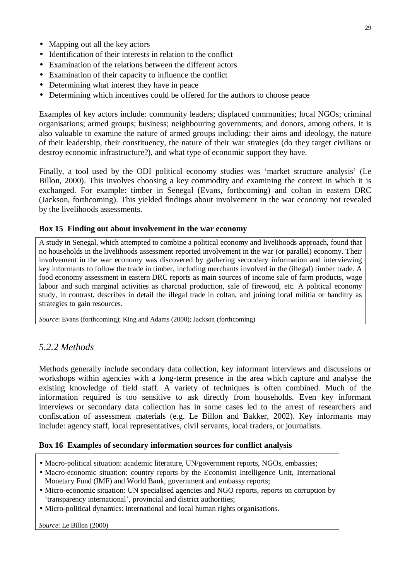- Mapping out all the key actors
- Identification of their interests in relation to the conflict
- Examination of the relations between the different actors
- Examination of their capacity to influence the conflict
- Determining what interest they have in peace
- Determining which incentives could be offered for the authors to choose peace

Examples of key actors include: community leaders; displaced communities; local NGOs; criminal organisations; armed groups; business; neighbouring governments; and donors, among others. It is also valuable to examine the nature of armed groups including: their aims and ideology, the nature of their leadership, their constituency, the nature of their war strategies (do they target civilians or destroy economic infrastructure?), and what type of economic support they have.

Finally, a tool used by the ODI political economy studies was 'market structure analysis' (Le Billon, 2000). This involves choosing a key commodity and examining the context in which it is exchanged. For example: timber in Senegal (Evans, forthcoming) and coltan in eastern DRC (Jackson, forthcoming). This yielded findings about involvement in the war economy not revealed by the livelihoods assessments.

#### **Box 15 Finding out about involvement in the war economy**

A study in Senegal, which attempted to combine a political economy and livelihoods approach, found that no households in the livelihoods assessment reported involvement in the war (or parallel) economy. Their involvement in the war economy was discovered by gathering secondary information and interviewing key informants to follow the trade in timber, including merchants involved in the (illegal) timber trade. A food economy assessment in eastern DRC reports as main sources of income sale of farm products, wage labour and such marginal activities as charcoal production, sale of firewood, etc. A political economy study, in contrast, describes in detail the illegal trade in coltan, and joining local militia or banditry as strategies to gain resources.

*Source*: Evans (forthcoming); King and Adams (2000); Jackson (forthcoming)

# *5.2.2 Methods*

Methods generally include secondary data collection, key informant interviews and discussions or workshops within agencies with a long-term presence in the area which capture and analyse the existing knowledge of field staff. A variety of techniques is often combined. Much of the information required is too sensitive to ask directly from households. Even key informant interviews or secondary data collection has in some cases led to the arrest of researchers and confiscation of assessment materials (e.g. Le Billon and Bakker, 2002). Key informants may include: agency staff, local representatives, civil servants, local traders, or journalists.

#### **Box 16 Examples of secondary information sources for conflict analysis**

- Macro-political situation: academic literature, UN/government reports, NGOs, embassies;
- Macro-economic situation: country reports by the Economist Intelligence Unit, International Monetary Fund (IMF) and World Bank, government and embassy reports;
- Micro-economic situation: UN specialised agencies and NGO reports, reports on corruption by 'transparency international', provincial and district authorities;
- Micro-political dynamics: international and local human rights organisations.

*Source*: Le Billon (2000)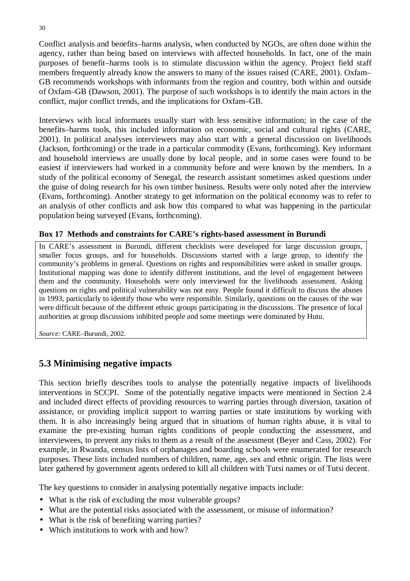Conflict analysis and benefits–harms analysis, when conducted by NGOs, are often done within the agency, rather than being based on interviews with affected households. In fact, one of the main purposes of benefit–harms tools is to stimulate discussion within the agency. Project field staff members frequently already know the answers to many of the issues raised (CARE, 2001). Oxfam– GB recommends workshops with informants from the region and country, both within and outside of Oxfam–GB (Dawson, 2001). The purpose of such workshops is to identify the main actors in the conflict, major conflict trends, and the implications for Oxfam–GB.

Interviews with local informants usually start with less sensitive information; in the case of the benefits–harms tools, this included information on economic, social and cultural rights (CARE, 2001). In political analyses interviewers may also start with a general discussion on livelihoods (Jackson, forthcoming) or the trade in a particular commodity (Evans, forthcoming). Key informant and household interviews are usually done by local people, and in some cases were found to be easiest if interviewers had worked in a community before and were known by the members. In a study of the political economy of Senegal, the research assistant sometimes asked questions under the guise of doing research for his own timber business. Results were only noted after the interview (Evans, forthcoming). Another strategy to get information on the political economy was to refer to an analysis of other conflicts and ask how this compared to what was happening in the particular population being surveyed (Evans, forthcoming).

#### **Box 17 Methods and constraints for CARE's rights-based assessment in Burundi**

In CARE's assessment in Burundi, different checklists were developed for large discussion groups, smaller focus groups, and for households. Discussions started with a large group, to identify the community's problems in general. Questions on rights and responsibilities were asked in smaller groups. Institutional mapping was done to identify different institutions, and the level of engagement between them and the community. Households were only interviewed for the livelihoods assessment. Asking questions on rights and political vulnerability was not easy. People found it difficult to discuss the abuses in 1993, particularly to identify those who were responsible. Similarly, questions on the causes of the war were difficult because of the different ethnic groups participating in the discussions. The presence of local authorities at group discussions inhibited people and some meetings were dominated by Hutu.

*Source:* CARE–Burundi, 2002.

# **5.3 Minimising negative impacts**

This section briefly describes tools to analyse the potentially negative impacts of livelihoods interventions in SCCPI. Some of the potentially negative impacts were mentioned in Section 2.4 and included direct effects of providing resources to warring parties through diversion, taxation of assistance, or providing implicit support to warring parties or state institutions by working with them. It is also increasingly being argued that in situations of human rights abuse, it is vital to examine the pre-existing human rights conditions of people conducting the assessment, and interviewees, to prevent any risks to them as a result of the assessment (Beyer and Cass, 2002). For example, in Rwanda, census lists of orphanages and boarding schools were enumerated for research purposes. These lists included numbers of children, name, age, sex and ethnic origin. The lists were later gathered by government agents ordered to kill all children with Tutsi names or of Tutsi decent.

The key questions to consider in analysing potentially negative impacts include:

- What is the risk of excluding the most vulnerable groups?
- What are the potential risks associated with the assessment, or misuse of information?
- What is the risk of benefiting warring parties?
- Which institutions to work with and how?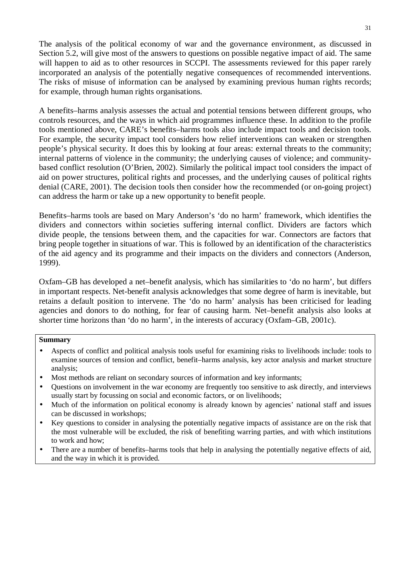The analysis of the political economy of war and the governance environment, as discussed in Section 5.2, will give most of the answers to questions on possible negative impact of aid. The same will happen to aid as to other resources in SCCPI. The assessments reviewed for this paper rarely incorporated an analysis of the potentially negative consequences of recommended interventions. The risks of misuse of information can be analysed by examining previous human rights records; for example, through human rights organisations.

A benefits–harms analysis assesses the actual and potential tensions between different groups, who controls resources, and the ways in which aid programmes influence these. In addition to the profile tools mentioned above, CARE's benefits–harms tools also include impact tools and decision tools. For example, the security impact tool considers how relief interventions can weaken or strengthen people's physical security. It does this by looking at four areas: external threats to the community; internal patterns of violence in the community; the underlying causes of violence; and communitybased conflict resolution (O'Brien, 2002). Similarly the political impact tool considers the impact of aid on power structures, political rights and processes, and the underlying causes of political rights denial (CARE, 2001). The decision tools then consider how the recommended (or on-going project) can address the harm or take up a new opportunity to benefit people.

Benefits–harms tools are based on Mary Anderson's 'do no harm' framework, which identifies the dividers and connectors within societies suffering internal conflict. Dividers are factors which divide people, the tensions between them, and the capacities for war. Connectors are factors that bring people together in situations of war. This is followed by an identification of the characteristics of the aid agency and its programme and their impacts on the dividers and connectors (Anderson, 1999).

Oxfam–GB has developed a net–benefit analysis, which has similarities to 'do no harm', but differs in important respects. Net-benefit analysis acknowledges that some degree of harm is inevitable, but retains a default position to intervene. The 'do no harm' analysis has been criticised for leading agencies and donors to do nothing, for fear of causing harm. Net–benefit analysis also looks at shorter time horizons than 'do no harm', in the interests of accuracy (Oxfam–GB, 2001c).

#### **Summary**

- Aspects of conflict and political analysis tools useful for examining risks to livelihoods include: tools to examine sources of tension and conflict, benefit–harms analysis, key actor analysis and market structure analysis;
- Most methods are reliant on secondary sources of information and key informants;
- Questions on involvement in the war economy are frequently too sensitive to ask directly, and interviews usually start by focussing on social and economic factors, or on livelihoods;
- Much of the information on political economy is already known by agencies' national staff and issues can be discussed in workshops;
- Key questions to consider in analysing the potentially negative impacts of assistance are on the risk that the most vulnerable will be excluded, the risk of benefiting warring parties, and with which institutions to work and how;
- There are a number of benefits–harms tools that help in analysing the potentially negative effects of aid, and the way in which it is provided.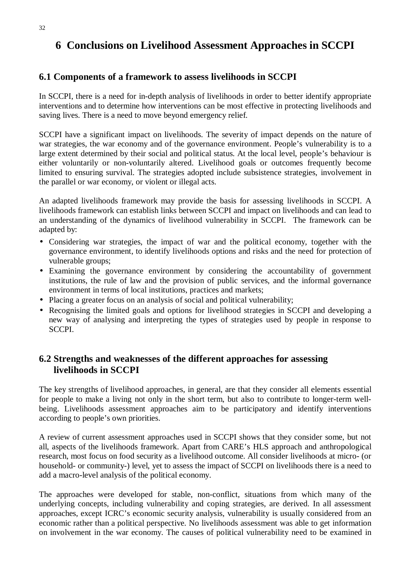# **6 Conclusions on Livelihood Assessment Approaches in SCCPI**

### **6.1 Components of a framework to assess livelihoods in SCCPI**

In SCCPI, there is a need for in-depth analysis of livelihoods in order to better identify appropriate interventions and to determine how interventions can be most effective in protecting livelihoods and saving lives. There is a need to move beyond emergency relief.

SCCPI have a significant impact on livelihoods. The severity of impact depends on the nature of war strategies, the war economy and of the governance environment. People's vulnerability is to a large extent determined by their social and political status. At the local level, people's behaviour is either voluntarily or non-voluntarily altered. Livelihood goals or outcomes frequently become limited to ensuring survival. The strategies adopted include subsistence strategies, involvement in the parallel or war economy, or violent or illegal acts.

An adapted livelihoods framework may provide the basis for assessing livelihoods in SCCPI. A livelihoods framework can establish links between SCCPI and impact on livelihoods and can lead to an understanding of the dynamics of livelihood vulnerability in SCCPI. The framework can be adapted by:

- Considering war strategies, the impact of war and the political economy, together with the governance environment, to identify livelihoods options and risks and the need for protection of vulnerable groups;
- Examining the governance environment by considering the accountability of government institutions, the rule of law and the provision of public services, and the informal governance environment in terms of local institutions, practices and markets;
- Placing a greater focus on an analysis of social and political vulnerability;
- Recognising the limited goals and options for livelihood strategies in SCCPI and developing a new way of analysing and interpreting the types of strategies used by people in response to SCCPI.

# **6.2 Strengths and weaknesses of the different approaches for assessing livelihoods in SCCPI**

The key strengths of livelihood approaches, in general, are that they consider all elements essential for people to make a living not only in the short term, but also to contribute to longer-term wellbeing. Livelihoods assessment approaches aim to be participatory and identify interventions according to people's own priorities.

A review of current assessment approaches used in SCCPI shows that they consider some, but not all, aspects of the livelihoods framework. Apart from CARE's HLS approach and anthropological research, most focus on food security as a livelihood outcome. All consider livelihoods at micro- (or household- or community-) level, yet to assess the impact of SCCPI on livelihoods there is a need to add a macro-level analysis of the political economy.

The approaches were developed for stable, non-conflict, situations from which many of the underlying concepts, including vulnerability and coping strategies, are derived. In all assessment approaches, except ICRC's economic security analysis, vulnerability is usually considered from an economic rather than a political perspective. No livelihoods assessment was able to get information on involvement in the war economy. The causes of political vulnerability need to be examined in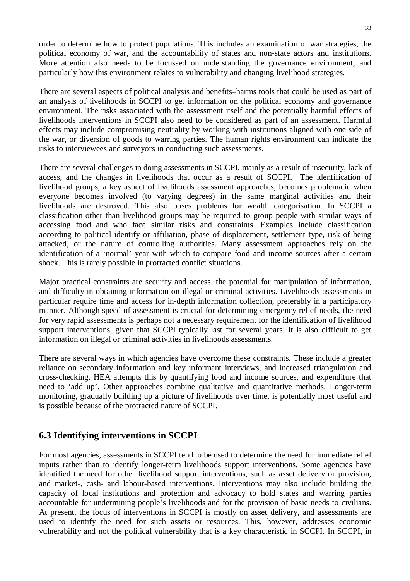order to determine how to protect populations. This includes an examination of war strategies, the political economy of war, and the accountability of states and non-state actors and institutions. More attention also needs to be focussed on understanding the governance environment, and particularly how this environment relates to vulnerability and changing livelihood strategies.

There are several aspects of political analysis and benefits–harms tools that could be used as part of an analysis of livelihoods in SCCPI to get information on the political economy and governance environment. The risks associated with the assessment itself and the potentially harmful effects of livelihoods interventions in SCCPI also need to be considered as part of an assessment. Harmful effects may include compromising neutrality by working with institutions aligned with one side of the war, or diversion of goods to warring parties. The human rights environment can indicate the risks to interviewees and surveyors in conducting such assessments.

There are several challenges in doing assessments in SCCPI, mainly as a result of insecurity, lack of access, and the changes in livelihoods that occur as a result of SCCPI. The identification of livelihood groups, a key aspect of livelihoods assessment approaches, becomes problematic when everyone becomes involved (to varying degrees) in the same marginal activities and their livelihoods are destroyed. This also poses problems for wealth categorisation. In SCCPI a classification other than livelihood groups may be required to group people with similar ways of accessing food and who face similar risks and constraints. Examples include classification according to political identify or affiliation, phase of displacement, settlement type, risk of being attacked, or the nature of controlling authorities. Many assessment approaches rely on the identification of a 'normal' year with which to compare food and income sources after a certain shock. This is rarely possible in protracted conflict situations.

Major practical constraints are security and access, the potential for manipulation of information, and difficulty in obtaining information on illegal or criminal activities. Livelihoods assessments in particular require time and access for in-depth information collection, preferably in a participatory manner. Although speed of assessment is crucial for determining emergency relief needs, the need for very rapid assessments is perhaps not a necessary requirement for the identification of livelihood support interventions, given that SCCPI typically last for several years. It is also difficult to get information on illegal or criminal activities in livelihoods assessments.

There are several ways in which agencies have overcome these constraints. These include a greater reliance on secondary information and key informant interviews, and increased triangulation and cross-checking. HEA attempts this by quantifying food and income sources, and expenditure that need to 'add up'. Other approaches combine qualitative and quantitative methods. Longer-term monitoring, gradually building up a picture of livelihoods over time, is potentially most useful and is possible because of the protracted nature of SCCPI.

# **6.3 Identifying interventions in SCCPI**

For most agencies, assessments in SCCPI tend to be used to determine the need for immediate relief inputs rather than to identify longer-term livelihoods support interventions. Some agencies have identified the need for other livelihood support interventions, such as asset delivery or provision, and market-, cash- and labour-based interventions. Interventions may also include building the capacity of local institutions and protection and advocacy to hold states and warring parties accountable for undermining people's livelihoods and for the provision of basic needs to civilians. At present, the focus of interventions in SCCPI is mostly on asset delivery, and assessments are used to identify the need for such assets or resources. This, however, addresses economic vulnerability and not the political vulnerability that is a key characteristic in SCCPI. In SCCPI, in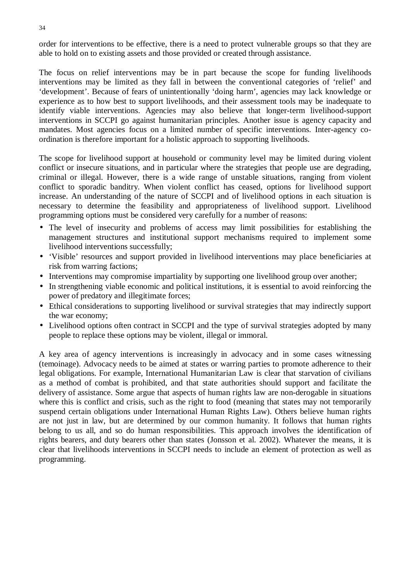order for interventions to be effective, there is a need to protect vulnerable groups so that they are able to hold on to existing assets and those provided or created through assistance.

The focus on relief interventions may be in part because the scope for funding livelihoods interventions may be limited as they fall in between the conventional categories of 'relief' and 'development'. Because of fears of unintentionally 'doing harm', agencies may lack knowledge or experience as to how best to support livelihoods, and their assessment tools may be inadequate to identify viable interventions. Agencies may also believe that longer-term livelihood-support interventions in SCCPI go against humanitarian principles. Another issue is agency capacity and mandates. Most agencies focus on a limited number of specific interventions. Inter-agency coordination is therefore important for a holistic approach to supporting livelihoods.

The scope for livelihood support at household or community level may be limited during violent conflict or insecure situations, and in particular where the strategies that people use are degrading, criminal or illegal. However, there is a wide range of unstable situations, ranging from violent conflict to sporadic banditry. When violent conflict has ceased, options for livelihood support increase. An understanding of the nature of SCCPI and of livelihood options in each situation is necessary to determine the feasibility and appropriateness of livelihood support. Livelihood programming options must be considered very carefully for a number of reasons:

- The level of insecurity and problems of access may limit possibilities for establishing the management structures and institutional support mechanisms required to implement some livelihood interventions successfully;
- 'Visible' resources and support provided in livelihood interventions may place beneficiaries at risk from warring factions;
- Interventions may compromise impartiality by supporting one livelihood group over another;
- In strengthening viable economic and political institutions, it is essential to avoid reinforcing the power of predatory and illegitimate forces;
- Ethical considerations to supporting livelihood or survival strategies that may indirectly support the war economy;
- Livelihood options often contract in SCCPI and the type of survival strategies adopted by many people to replace these options may be violent, illegal or immoral.

A key area of agency interventions is increasingly in advocacy and in some cases witnessing (temoinage). Advocacy needs to be aimed at states or warring parties to promote adherence to their legal obligations. For example, International Humanitarian Law is clear that starvation of civilians as a method of combat is prohibited, and that state authorities should support and facilitate the delivery of assistance. Some argue that aspects of human rights law are non-derogable in situations where this is conflict and crisis, such as the right to food (meaning that states may not temporarily suspend certain obligations under International Human Rights Law). Others believe human rights are not just in law, but are determined by our common humanity. It follows that human rights belong to us all, and so do human responsibilities. This approach involves the identification of rights bearers, and duty bearers other than states (Jonsson et al. 2002). Whatever the means, it is clear that livelihoods interventions in SCCPI needs to include an element of protection as well as programming.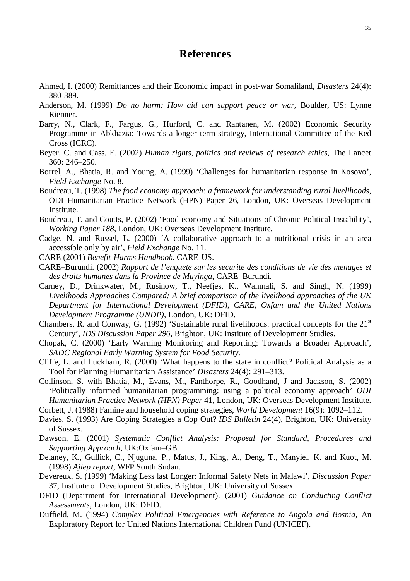# **References**

- Ahmed, I. (2000) Remittances and their Economic impact in post-war Somaliland, *Disasters* 24(4): 380-389.
- Anderson, M. (1999) *Do no harm: How aid can support peace or war,* Boulder, US: Lynne Rienner.
- Barry, N., Clark, F., Fargus, G., Hurford, C. and Rantanen, M. (2002) Economic Security Programme in Abkhazia: Towards a longer term strategy, International Committee of the Red Cross (ICRC).
- Beyer, C. and Cass, E. (2002) *Human rights, politics and reviews of research ethics,* The Lancet 360: 246–250.
- Borrel, A., Bhatia, R. and Young, A. (1999) 'Challenges for humanitarian response in Kosovo', *Field Exchange* No. 8.
- Boudreau, T. (1998) *The food economy approach: a framework for understanding rural livelihoods,* ODI Humanitarian Practice Network (HPN) Paper 26, London, UK: Overseas Development Institute.
- Boudreau, T. and Coutts, P. (2002) 'Food economy and Situations of Chronic Political Instability', *Working Paper 188*, London, UK: Overseas Development Institute*.*
- Cadge, N. and Russel, L. (2000) 'A collaborative approach to a nutritional crisis in an area accessible only by air', *Field Exchange* No. 11.
- CARE (2001) *Benefit-Harms Handbook*. CARE-US.
- CARE–Burundi. (2002) *Rapport de l'enquete sur les securite des conditions de vie des menages et des droits humanes dans la Province de Muyinga*, CARE–Burundi.
- Carney, D., Drinkwater, M., Rusinow, T., Neefjes, K., Wanmali, S. and Singh, N. (1999) *Livelihoods Approaches Compared: A brief comparison of the livelihood approaches of the UK Department for International Development (DFID), CARE, Oxfam and the United Nations Development Programme (UNDP)*, London, UK: DFID.
- Chambers, R. and Conway, G. (1992) 'Sustainable rural livelihoods: practical concepts for the  $21<sup>st</sup>$ Century', *IDS Discussion Paper 296,* Brighton, UK: Institute of Development Studies.
- Chopak, C. (2000) 'Early Warning Monitoring and Reporting: Towards a Broader Approach', *SADC Regional Early Warning System for Food Security.*
- Cliffe, L. and Luckham, R. (2000) 'What happens to the state in conflict? Political Analysis as a Tool for Planning Humanitarian Assistance' *Disasters* 24(4): 291–313.

Collinson, S. with Bhatia, M., Evans, M., Fanthorpe, R., Goodhand, J and Jackson, S. (2002) 'Politically informed humanitarian programming: using a political economy approach' *ODI Humanitarian Practice Network (HPN) Paper* 41, London, UK: Overseas Development Institute.

- Corbett, J. (1988) Famine and household coping strategies, *World Development* 16(9): 1092–112.
- Davies, S. (1993) Are Coping Strategies a Cop Out? *IDS Bulletin* 24(4), Brighton, UK: University of Sussex.
- Dawson, E. (2001) *Systematic Conflict Analysis: Proposal for Standard, Procedures and Supporting Approach*, UK:Oxfam–GB.
- Delaney, K., Gullick, C., Njuguna, P., Matus, J., King, A., Deng, T., Manyiel, K. and Kuot, M. (1998) *Ajiep report*, WFP South Sudan.
- Devereux, S. (1999) 'Making Less last Longer: Informal Safety Nets in Malawi', *Discussion Paper* 37, Institute of Development Studies, Brighton, UK: University of Sussex.
- DFID (Department for International Development). (2001) *Guidance on Conducting Conflict Assessments*, London, UK: DFID.
- Duffield, M. (1994) *Complex Political Emergencies with Reference to Angola and Bosnia*, An Exploratory Report for United Nations International Children Fund (UNICEF).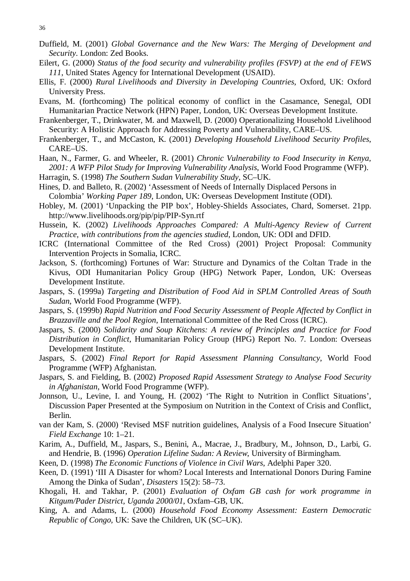- Duffield, M. (2001) *Global Governance and the New Wars: The Merging of Development and Security*. London: Zed Books.
- Eilert, G. (2000) *Status of the food security and vulnerability profiles (FSVP) at the end of FEWS 111*, United States Agency for International Development (USAID).
- Ellis, F. (2000) *Rural Livelihoods and Diversity in Developing Countries*, Oxford, UK: Oxford University Press.
- Evans, M. (forthcoming) The political economy of conflict in the Casamance, Senegal*,* ODI Humanitarian Practice Network (HPN) Paper, London, UK: Overseas Development Institute.
- Frankenberger, T., Drinkwater, M. and Maxwell, D. (2000) Operationalizing Household Livelihood Security: A Holistic Approach for Addressing Poverty and Vulnerability, CARE–US.
- Frankenberger, T., and McCaston, K. (2001) *Developing Household Livelihood Security Profiles*, CARE–US.
- Haan, N., Farmer, G. and Wheeler, R. (2001) *Chronic Vulnerability to Food Insecurity in Kenya, 2001: A WFP Pilot Study for Improving Vulnerability Analysis*, World Food Programme (WFP).
- Harragin, S. (1998) *The Southern Sudan Vulnerability Study*, SC–UK.
- Hines, D. and Balleto, R. (2002) 'Assessment of Needs of Internally Displaced Persons in Colombia' *Working Paper 189*, London, UK: Overseas Development Institute (ODI).
- Hobley, M. (2001) 'Unpacking the PIP box', Hobley-Shields Associates, Chard, Somerset. 21pp. http://www.livelihoods.org/pip/pip/PIP-Syn.rtf
- Hussein, K. (2002) *Livelihoods Approaches Compared: A Multi-Agency Review of Current Practice, with contributions from the agencies studied*, London, UK: ODI and DFID.
- ICRC (International Committee of the Red Cross) (2001) Project Proposal: Community Intervention Projects in Somalia, ICRC.
- Jackson, S. (forthcoming) Fortunes of War: Structure and Dynamics of the Coltan Trade in the Kivus, ODI Humanitarian Policy Group (HPG) Network Paper, London, UK: Overseas Development Institute.
- Jaspars, S. (1999a) *Targeting and Distribution of Food Aid in SPLM Controlled Areas of South Sudan*, World Food Programme (WFP).
- Jaspars, S. (1999b) *Rapid Nutrition and Food Security Assessment of People Affected by Conflict in Brazzaville and the Pool Region*, International Committee of the Red Cross (ICRC).
- Jaspars, S. (2000) *Solidarity and Soup Kitchens: A review of Principles and Practice for Food Distribution in Conflict*, Humanitarian Policy Group (HPG) Report No. 7. London: Overseas Development Institute.
- Jaspars, S. (2002) *Final Report for Rapid Assessment Planning Consultancy*, World Food Programme (WFP) Afghanistan.
- Jaspars, S. and Fielding, B. (2002) *Proposed Rapid Assessment Strategy to Analyse Food Security in Afghanistan*, World Food Programme (WFP).
- Jonnson, U., Levine, I. and Young, H. (2002) 'The Right to Nutrition in Conflict Situations', Discussion Paper Presented at the Symposium on Nutrition in the Context of Crisis and Conflict, Berlin.
- van der Kam, S. (2000) 'Revised MSF nutrition guidelines, Analysis of a Food Insecure Situation' *Field Exchange* 10: 1–21.
- Karim, A., Duffield, M., Jaspars, S., Benini, A., Macrae, J., Bradbury, M., Johnson, D., Larbi, G. and Hendrie, B. (1996) *Operation Lifeline Sudan: A Review*, University of Birmingham.
- Keen, D. (1998) *The Economic Functions of Violence in Civil Wars*, Adelphi Paper 320.
- Keen, D. (1991) 'III A Disaster for whom? Local Interests and International Donors During Famine Among the Dinka of Sudan', *Disasters* 15(2): 58–73.
- Khogali, H. and Takhar, P. (2001) *Evaluation of Oxfam GB cash for work programme in Kitgum/Pader District, Uganda 2000/01*, Oxfam–GB, UK.
- King, A. and Adams, L. (2000) *Household Food Economy Assessment: Eastern Democratic Republic of Congo,* UK: Save the Children, UK (SC–UK).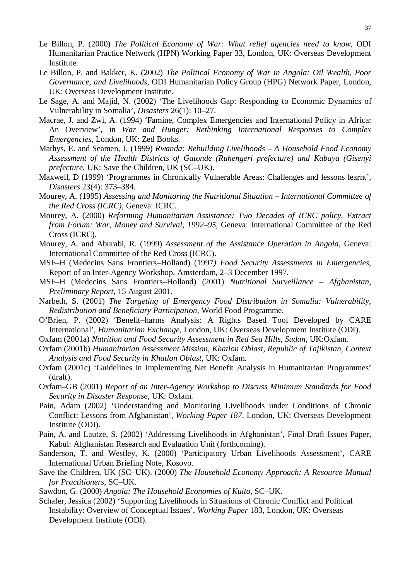- Le Billon, P. (2000) *The Political Economy of War: What relief agencies need to know,* ODI Humanitarian Practice Network (HPN) Working Paper 33, London, UK: Overseas Development Institute.
- Le Billon, P. and Bakker, K. (2002) *The Political Economy of War in Angola: Oil Wealth, Poor Governance, and Livelihoods*, ODI Humanitarian Policy Group (HPG) Network Paper, London, UK: Overseas Development Institute.
- Le Sage, A. and Majid, N. (2002) 'The Livelihoods Gap: Responding to Economic Dynamics of Vulnerability in Somalia', *Disasters* 26(1): 10–27.
- Macrae, J. and Zwi, A. (1994) 'Famine, Complex Emergencies and International Policy in Africa: An Overview', in *War and Hunger: Rethinking International Responses to Complex Emergencies*, London, UK: Zed Books.
- Mathys, E. and Seamen, J. (1999) *Rwanda: Rebuilding Livelihoods A Household Food Economy Assessment of the Health Districts of Gatonde (Ruhengeri prefecture) and Kabaya (Gisenyi prefecture*, UK: Save the Children, UK (SC–UK).
- Maxwell, D (1999) 'Programmes in Chronically Vulnerable Areas: Challenges and lessons learnt', *Disasters* 23(4): 373–384.
- Mourey, A. (1995) *Assessing and Monitoring the Nutritional Situation International Committee of the Red Cross (ICRC)*, Geneva: ICRC.
- Mourey, A. (2000) *Reforming Humanitarian Assistance: Two Decades of ICRC policy. Extract from Forum: War, Money and Survival, 1992–95*, Geneva: International Committee of the Red Cross (ICRC).
- Mourey, A. and Aburabi, R. (1999) *Assessment of the Assistance Operation in Angola*, Geneva: International Committee of the Red Cross (ICRC).
- MSF–H (Medecins Sans Frontiers–Holland) (1997*) Food Security Assessments in Emergencies,* Report of an Inter-Agency Workshop, Amsterdam, 2–3 December 1997.
- MSF–H (Medecins Sans Frontiers–Holland) (2001) *Nutritional Surveillance Afghanistan, Preliminary Report,* 15 August 2001.
- Narbeth, S. (2001) *The Targeting of Emergency Food Distribution in Somalia: Vulnerability, Redistribution and Beneficiary Participation*, World Food Programme.
- O'Brien, P. (2002) 'Benefit–harms Analysis: A Rights Based Tool Developed by CARE International', *Humanitarian Exchange*, London, UK: Overseas Development Institute (ODI).
- Oxfam (2001a) *Nutrition and Food Security Assessment in Red Sea Hills*, *Sudan*, UK:Oxfam.
- Oxfam (2001b) *Humanitarian Assessment Mission, Khatlon Oblast, Republic of Tajikistan, Context Analysis and Food Security in Khatlon Oblast*, UK: Oxfam.
- Oxfam (2001c) 'Guidelines in Implementing Net Benefit Analysis in Humanitarian Programmes' (draft).
- Oxfam–GB (2001) *Report of an Inter-Agency Workshop to Discuss Minimum Standards for Food Security in Disaster Response*, UK: Oxfam.
- Pain, Adam (2002) 'Understanding and Monitoring Livelihoods under Conditions of Chronic Conflict: Lessons from Afghanistan', *Working Paper 187*, London, UK: Overseas Development Institute (ODI).
- Pain, A. and Lautze, S. (2002) 'Addressing Livelihoods in Afghanistan', Final Draft Issues Paper, Kabul: Afghanistan Research and Evaluation Unit (forthcoming).
- Sanderson, T. and Westley, K. (2000) 'Participatory Urban Livelihoods Assessment', CARE International Urban Briefing Note, Kosovo.
- Save the Children, UK (SC–UK). (2000) *The Household Economy Approach: A Resource Manual for Practitioners*, SC–UK.
- Sawdon, G. (2000) *Angola: The Household Economies of Kuito*, SC–UK.
- Schafer, Jessica (2002) 'Supporting Livelihoods in Situations of Chronic Conflict and Political Instability: Overview of Conceptual Issues', *Working Paper* 183, London, UK: Overseas Development Institute (ODI).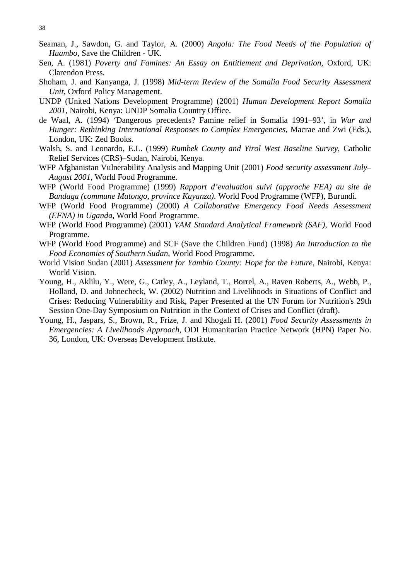- Seaman, J., Sawdon, G. and Taylor, A. (2000) *Angola: The Food Needs of the Population of Huambo*, Save the Children - UK.
- Sen, A. (1981) *Poverty and Famines: An Essay on Entitlement and Deprivation*, Oxford, UK: Clarendon Press.
- Shoham, J. and Kanyanga, J. (1998) *Mid-term Review of the Somalia Food Security Assessment Unit*, Oxford Policy Management.
- UNDP (United Nations Development Programme) (2001) *Human Development Report Somalia 2001*, Nairobi, Kenya: UNDP Somalia Country Office.
- de Waal, A. (1994) 'Dangerous precedents? Famine relief in Somalia 1991–93', in *War and Hunger: Rethinking International Responses to Complex Emergencies*, Macrae and Zwi (Eds.), London, UK: Zed Books.
- Walsh, S. and Leonardo, E.L. (1999) *Rumbek County and Yirol West Baseline Survey*, Catholic Relief Services (CRS)–Sudan, Nairobi, Kenya.
- WFP Afghanistan Vulnerability Analysis and Mapping Unit (2001) *Food security assessment July– August 2001*, World Food Programme.
- WFP (World Food Programme) (1999) *Rapport d'evaluation suivi (approche FEA) au site de Bandaga (commune Matongo, province Kayanza).* World Food Programme (WFP), Burundi.
- WFP (World Food Programme) (2000) *A Collaborative Emergency Food Needs Assessment (EFNA) in Uganda*, World Food Programme.
- WFP (World Food Programme) (2001) *VAM Standard Analytical Framework (SAF)*, World Food Programme.
- WFP (World Food Programme) and SCF (Save the Children Fund) (1998) *An Introduction to the Food Economies of Southern Sudan*, World Food Programme.
- World Vision Sudan (2001) *Assessment for Yambio County: Hope for the Future*, Nairobi, Kenya: World Vision.
- Young, H., Aklilu, Y., Were, G., Catley, A., Leyland, T., Borrel, A., Raven Roberts, A., Webb, P., Holland, D. and Johnecheck, W. (2002) Nutrition and Livelihoods in Situations of Conflict and Crises: Reducing Vulnerability and Risk, Paper Presented at the UN Forum for Nutrition's 29th Session One-Day Symposium on Nutrition in the Context of Crises and Conflict (draft).
- Young, H., Jaspars, S., Brown, R., Frize, J. and Khogali H. (2001) *Food Security Assessments in Emergencies: A Livelihoods Approach,* ODI Humanitarian Practice Network (HPN) Paper No. 36, London, UK: Overseas Development Institute.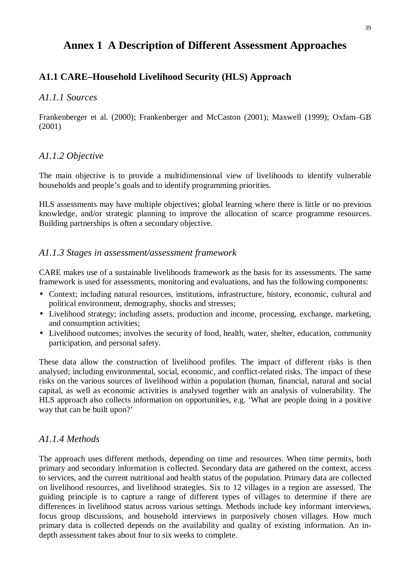# **Annex 1 A Description of Different Assessment Approaches**

### **A1.1 CARE–Household Livelihood Security (HLS) Approach**

### *A1.1.1 Sources*

Frankenberger et al. (2000); Frankenberger and McCaston (2001); Maxwell (1999); Oxfam–GB (2001)

### *A1.1.2 Objective*

The main objective is to provide a multidimensional view of livelihoods to identify vulnerable households and people's goals and to identify programming priorities.

HLS assessments may have multiple objectives; global learning where there is little or no previous knowledge, and/or strategic planning to improve the allocation of scarce programme resources. Building partnerships is often a secondary objective.

### *A1.1.3 Stages in assessment/assessment framework*

CARE makes use of a sustainable livelihoods framework as the basis for its assessments. The same framework is used for assessments, monitoring and evaluations, and has the following components:

- Context; including natural resources, institutions, infrastructure, history, economic, cultural and political environment, demography, shocks and stresses;
- Livelihood strategy; including assets, production and income, processing, exchange, marketing, and consumption activities;
- Livelihood outcomes; involves the security of food, health, water, shelter, education, community participation, and personal safety.

These data allow the construction of livelihood profiles. The impact of different risks is then analysed; including environmental, social, economic, and conflict-related risks. The impact of these risks on the various sources of livelihood within a population (human, financial, natural and social capital, as well as economic activities is analysed together with an analysis of vulnerability. The HLS approach also collects information on opportunities, e.g. 'What are people doing in a positive way that can be built upon?'

# *A1.1.4 Methods*

The approach uses different methods, depending on time and resources. When time permits, both primary and secondary information is collected. Secondary data are gathered on the context, access to services, and the current nutritional and health status of the population. Primary data are collected on livelihood resources, and livelihood strategies. Six to 12 villages in a region are assessed. The guiding principle is to capture a range of different types of villages to determine if there are differences in livelihood status across various settings. Methods include key informant interviews, focus group discussions, and household interviews in purposively chosen villages. How much primary data is collected depends on the availability and quality of existing information. An indepth assessment takes about four to six weeks to complete.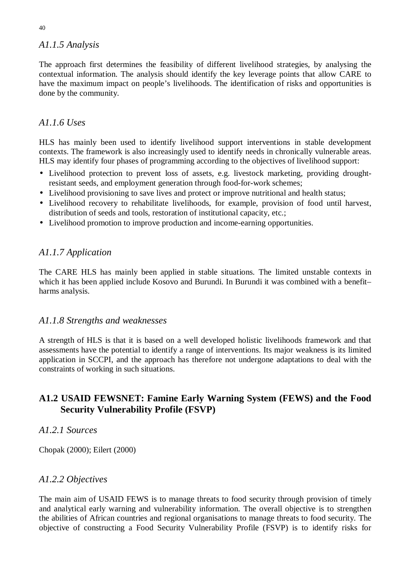# *A1.1.5 Analysis*

The approach first determines the feasibility of different livelihood strategies, by analysing the contextual information. The analysis should identify the key leverage points that allow CARE to have the maximum impact on people's livelihoods. The identification of risks and opportunities is done by the community.

# *A1.1.6 Uses*

HLS has mainly been used to identify livelihood support interventions in stable development contexts. The framework is also increasingly used to identify needs in chronically vulnerable areas. HLS may identify four phases of programming according to the objectives of livelihood support:

- Livelihood protection to prevent loss of assets, e.g. livestock marketing, providing droughtresistant seeds, and employment generation through food-for-work schemes;
- Livelihood provisioning to save lives and protect or improve nutritional and health status;
- Livelihood recovery to rehabilitate livelihoods, for example, provision of food until harvest, distribution of seeds and tools, restoration of institutional capacity, etc.;
- Livelihood promotion to improve production and income-earning opportunities.

# *A1.1.7 Application*

The CARE HLS has mainly been applied in stable situations. The limited unstable contexts in which it has been applied include Kosovo and Burundi. In Burundi it was combined with a benefit– harms analysis.

# *A1.1.8 Strengths and weaknesses*

A strength of HLS is that it is based on a well developed holistic livelihoods framework and that assessments have the potential to identify a range of interventions. Its major weakness is its limited application in SCCPI, and the approach has therefore not undergone adaptations to deal with the constraints of working in such situations.

# **A1.2 USAID FEWSNET: Famine Early Warning System (FEWS) and the Food Security Vulnerability Profile (FSVP)**

# *A1.2.1 Sources*

Chopak (2000); Eilert (2000)

# *A1.2.2 Objectives*

The main aim of USAID FEWS is to manage threats to food security through provision of timely and analytical early warning and vulnerability information. The overall objective is to strengthen the abilities of African countries and regional organisations to manage threats to food security. The objective of constructing a Food Security Vulnerability Profile (FSVP) is to identify risks for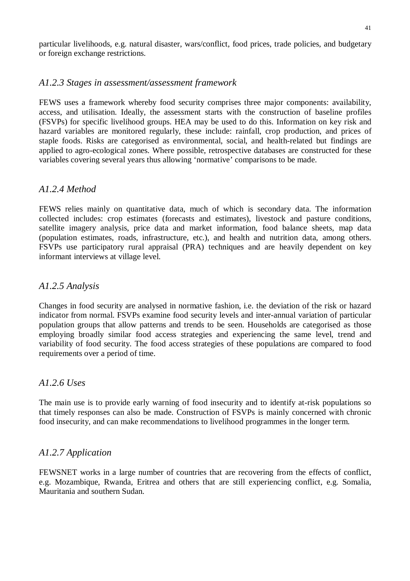particular livelihoods, e.g. natural disaster, wars/conflict, food prices, trade policies, and budgetary or foreign exchange restrictions.

### *A1.2.3 Stages in assessment/assessment framework*

FEWS uses a framework whereby food security comprises three major components: availability, access, and utilisation. Ideally, the assessment starts with the construction of baseline profiles (FSVPs) for specific livelihood groups. HEA may be used to do this. Information on key risk and hazard variables are monitored regularly, these include: rainfall, crop production, and prices of staple foods. Risks are categorised as environmental, social, and health-related but findings are applied to agro-ecological zones. Where possible, retrospective databases are constructed for these variables covering several years thus allowing 'normative' comparisons to be made.

### *A1.2.4 Method*

FEWS relies mainly on quantitative data, much of which is secondary data. The information collected includes: crop estimates (forecasts and estimates), livestock and pasture conditions, satellite imagery analysis, price data and market information, food balance sheets, map data (population estimates, roads, infrastructure, etc.), and health and nutrition data, among others. FSVPs use participatory rural appraisal (PRA) techniques and are heavily dependent on key informant interviews at village level.

### *A1.2.5 Analysis*

Changes in food security are analysed in normative fashion, i.e. the deviation of the risk or hazard indicator from normal. FSVPs examine food security levels and inter-annual variation of particular population groups that allow patterns and trends to be seen. Households are categorised as those employing broadly similar food access strategies and experiencing the same level, trend and variability of food security. The food access strategies of these populations are compared to food requirements over a period of time.

### *A1.2.6 Uses*

The main use is to provide early warning of food insecurity and to identify at-risk populations so that timely responses can also be made. Construction of FSVPs is mainly concerned with chronic food insecurity, and can make recommendations to livelihood programmes in the longer term.

# *A1.2.7 Application*

FEWSNET works in a large number of countries that are recovering from the effects of conflict, e.g. Mozambique, Rwanda, Eritrea and others that are still experiencing conflict, e.g. Somalia, Mauritania and southern Sudan.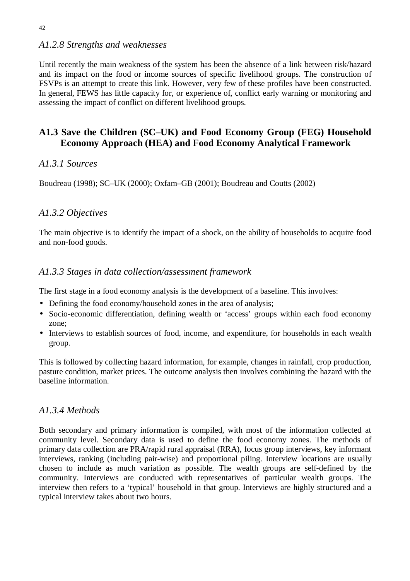### *A1.2.8 Strengths and weaknesses*

Until recently the main weakness of the system has been the absence of a link between risk/hazard and its impact on the food or income sources of specific livelihood groups. The construction of FSVPs is an attempt to create this link. However, very few of these profiles have been constructed. In general, FEWS has little capacity for, or experience of, conflict early warning or monitoring and assessing the impact of conflict on different livelihood groups.

# **A1.3 Save the Children (SC–UK) and Food Economy Group (FEG) Household Economy Approach (HEA) and Food Economy Analytical Framework**

### *A1.3.1 Sources*

Boudreau (1998); SC–UK (2000); Oxfam–GB (2001); Boudreau and Coutts (2002)

### *A1.3.2 Objectives*

The main objective is to identify the impact of a shock, on the ability of households to acquire food and non-food goods.

### *A1.3.3 Stages in data collection/assessment framework*

The first stage in a food economy analysis is the development of a baseline. This involves:

- Defining the food economy/household zones in the area of analysis;
- Socio-economic differentiation, defining wealth or 'access' groups within each food economy zone;
- Interviews to establish sources of food, income, and expenditure, for households in each wealth group.

This is followed by collecting hazard information, for example, changes in rainfall, crop production, pasture condition, market prices. The outcome analysis then involves combining the hazard with the baseline information.

### *A1.3.4 Methods*

Both secondary and primary information is compiled, with most of the information collected at community level. Secondary data is used to define the food economy zones. The methods of primary data collection are PRA/rapid rural appraisal (RRA), focus group interviews, key informant interviews, ranking (including pair-wise) and proportional piling. Interview locations are usually chosen to include as much variation as possible. The wealth groups are self-defined by the community. Interviews are conducted with representatives of particular wealth groups. The interview then refers to a 'typical' household in that group. Interviews are highly structured and a typical interview takes about two hours.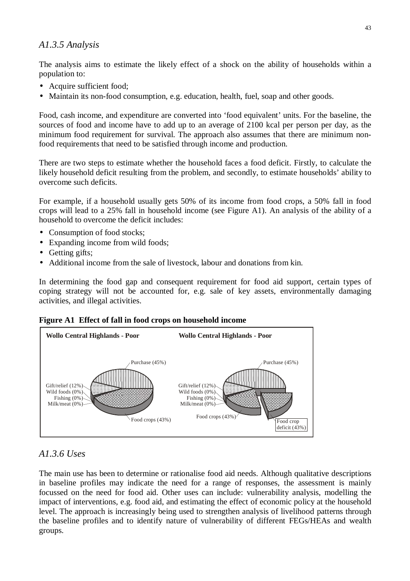# *A1.3.5 Analysis*

The analysis aims to estimate the likely effect of a shock on the ability of households within a population to:

- Acquire sufficient food;
- Maintain its non-food consumption, e.g. education, health, fuel, soap and other goods.

Food, cash income, and expenditure are converted into 'food equivalent' units. For the baseline, the sources of food and income have to add up to an average of 2100 kcal per person per day, as the minimum food requirement for survival. The approach also assumes that there are minimum nonfood requirements that need to be satisfied through income and production.

There are two steps to estimate whether the household faces a food deficit. Firstly, to calculate the likely household deficit resulting from the problem, and secondly, to estimate households' ability to overcome such deficits.

For example, if a household usually gets 50% of its income from food crops, a 50% fall in food crops will lead to a 25% fall in household income (see Figure A1). An analysis of the ability of a household to overcome the deficit includes:

- Consumption of food stocks;
- Expanding income from wild foods;
- Getting gifts;
- Additional income from the sale of livestock, labour and donations from kin.

In determining the food gap and consequent requirement for food aid support, certain types of coping strategy will not be accounted for, e.g. sale of key assets, environmentally damaging activities, and illegal activities.

#### **Figure A1 Effect of fall in food crops on household income**



# *A1.3.6 Uses*

The main use has been to determine or rationalise food aid needs. Although qualitative descriptions in baseline profiles may indicate the need for a range of responses, the assessment is mainly focussed on the need for food aid. Other uses can include: vulnerability analysis, modelling the impact of interventions, e.g. food aid, and estimating the effect of economic policy at the household level. The approach is increasingly being used to strengthen analysis of livelihood patterns through the baseline profiles and to identify nature of vulnerability of different FEGs/HEAs and wealth groups.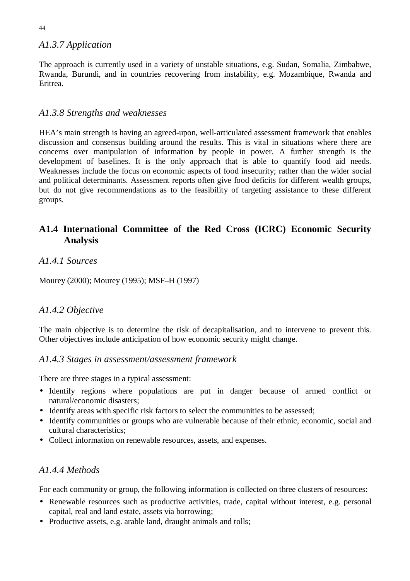# *A1.3.7 Application*

The approach is currently used in a variety of unstable situations, e.g. Sudan, Somalia, Zimbabwe, Rwanda, Burundi, and in countries recovering from instability, e.g. Mozambique, Rwanda and Eritrea.

# *A1.3.8 Strengths and weaknesses*

HEA's main strength is having an agreed-upon, well-articulated assessment framework that enables discussion and consensus building around the results. This is vital in situations where there are concerns over manipulation of information by people in power. A further strength is the development of baselines. It is the only approach that is able to quantify food aid needs. Weaknesses include the focus on economic aspects of food insecurity; rather than the wider social and political determinants. Assessment reports often give food deficits for different wealth groups, but do not give recommendations as to the feasibility of targeting assistance to these different groups.

# **A1.4 International Committee of the Red Cross (ICRC) Economic Security Analysis**

# *A1.4.1 Sources*

Mourey (2000); Mourey (1995); MSF–H (1997)

# *A1.4.2 Objective*

The main objective is to determine the risk of decapitalisation, and to intervene to prevent this. Other objectives include anticipation of how economic security might change.

# *A1.4.3 Stages in assessment/assessment framework*

There are three stages in a typical assessment:

- Identify regions where populations are put in danger because of armed conflict or natural/economic disasters;
- Identify areas with specific risk factors to select the communities to be assessed;
- Identify communities or groups who are vulnerable because of their ethnic, economic, social and cultural characteristics;
- Collect information on renewable resources, assets, and expenses.

# *A1.4.4 Methods*

For each community or group, the following information is collected on three clusters of resources:

- Renewable resources such as productive activities, trade, capital without interest, e.g. personal capital, real and land estate, assets via borrowing;
- Productive assets, e.g. arable land, draught animals and tolls;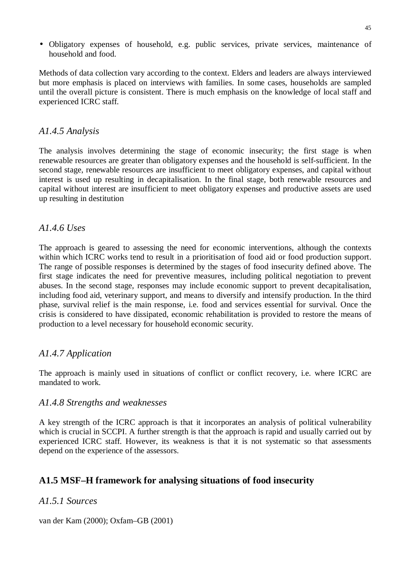• Obligatory expenses of household, e.g. public services, private services, maintenance of household and food.

Methods of data collection vary according to the context. Elders and leaders are always interviewed but more emphasis is placed on interviews with families. In some cases, households are sampled until the overall picture is consistent. There is much emphasis on the knowledge of local staff and experienced ICRC staff.

### *A1.4.5 Analysis*

The analysis involves determining the stage of economic insecurity; the first stage is when renewable resources are greater than obligatory expenses and the household is self-sufficient. In the second stage, renewable resources are insufficient to meet obligatory expenses, and capital without interest is used up resulting in decapitalisation. In the final stage, both renewable resources and capital without interest are insufficient to meet obligatory expenses and productive assets are used up resulting in destitution

# *A1.4.6 Uses*

The approach is geared to assessing the need for economic interventions, although the contexts within which ICRC works tend to result in a prioritisation of food aid or food production support. The range of possible responses is determined by the stages of food insecurity defined above. The first stage indicates the need for preventive measures, including political negotiation to prevent abuses. In the second stage, responses may include economic support to prevent decapitalisation, including food aid, veterinary support, and means to diversify and intensify production. In the third phase, survival relief is the main response, i.e. food and services essential for survival. Once the crisis is considered to have dissipated, economic rehabilitation is provided to restore the means of production to a level necessary for household economic security.

# *A1.4.7 Application*

The approach is mainly used in situations of conflict or conflict recovery, i.e. where ICRC are mandated to work.

### *A1.4.8 Strengths and weaknesses*

A key strength of the ICRC approach is that it incorporates an analysis of political vulnerability which is crucial in SCCPI. A further strength is that the approach is rapid and usually carried out by experienced ICRC staff. However, its weakness is that it is not systematic so that assessments depend on the experience of the assessors.

# **A1.5 MSF–H framework for analysing situations of food insecurity**

# *A1.5.1 Sources*

van der Kam (2000); Oxfam–GB (2001)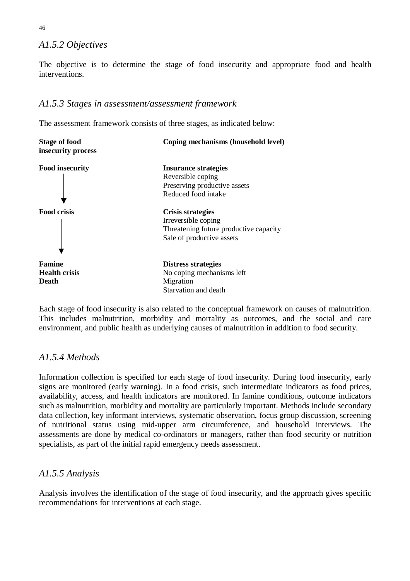# *A1.5.2 Objectives*

The objective is to determine the stage of food insecurity and appropriate food and health interventions.

# *A1.5.3 Stages in assessment/assessment framework*

The assessment framework consists of three stages, as indicated below:



Each stage of food insecurity is also related to the conceptual framework on causes of malnutrition. This includes malnutrition, morbidity and mortality as outcomes, and the social and care environment, and public health as underlying causes of malnutrition in addition to food security.

# *A1.5.4 Methods*

Information collection is specified for each stage of food insecurity. During food insecurity, early signs are monitored (early warning). In a food crisis, such intermediate indicators as food prices, availability, access, and health indicators are monitored. In famine conditions, outcome indicators such as malnutrition, morbidity and mortality are particularly important. Methods include secondary data collection, key informant interviews, systematic observation, focus group discussion, screening of nutritional status using mid-upper arm circumference, and household interviews. The assessments are done by medical co-ordinators or managers, rather than food security or nutrition specialists, as part of the initial rapid emergency needs assessment.

# *A1.5.5 Analysis*

Analysis involves the identification of the stage of food insecurity, and the approach gives specific recommendations for interventions at each stage.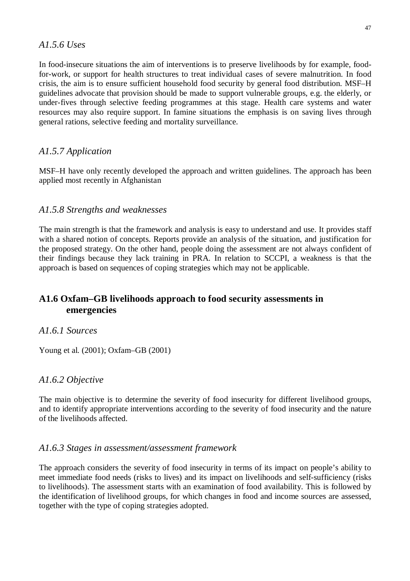### *A1.5.6 Uses*

In food-insecure situations the aim of interventions is to preserve livelihoods by for example, foodfor-work, or support for health structures to treat individual cases of severe malnutrition. In food crisis, the aim is to ensure sufficient household food security by general food distribution. MSF–H guidelines advocate that provision should be made to support vulnerable groups, e.g. the elderly, or under-fives through selective feeding programmes at this stage. Health care systems and water resources may also require support. In famine situations the emphasis is on saving lives through general rations, selective feeding and mortality surveillance.

# *A1.5.7 Application*

MSF–H have only recently developed the approach and written guidelines. The approach has been applied most recently in Afghanistan

# *A1.5.8 Strengths and weaknesses*

The main strength is that the framework and analysis is easy to understand and use. It provides staff with a shared notion of concepts. Reports provide an analysis of the situation, and justification for the proposed strategy. On the other hand, people doing the assessment are not always confident of their findings because they lack training in PRA. In relation to SCCPI, a weakness is that the approach is based on sequences of coping strategies which may not be applicable.

# **A1.6 Oxfam–GB livelihoods approach to food security assessments in emergencies**

### *A1.6.1 Sources*

Young et al. (2001); Oxfam–GB (2001)

# *A1.6.2 Objective*

The main objective is to determine the severity of food insecurity for different livelihood groups, and to identify appropriate interventions according to the severity of food insecurity and the nature of the livelihoods affected.

### *A1.6.3 Stages in assessment/assessment framework*

The approach considers the severity of food insecurity in terms of its impact on people's ability to meet immediate food needs (risks to lives) and its impact on livelihoods and self-sufficiency (risks to livelihoods). The assessment starts with an examination of food availability. This is followed by the identification of livelihood groups, for which changes in food and income sources are assessed, together with the type of coping strategies adopted.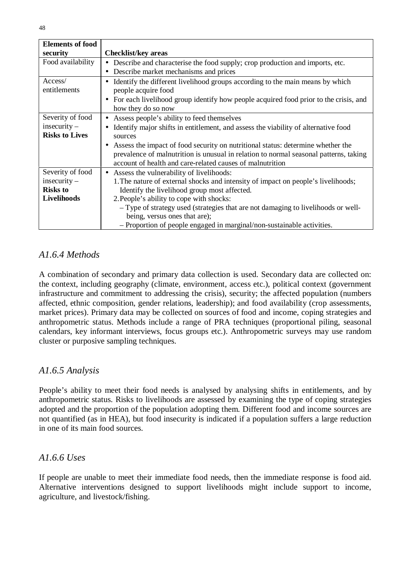| <b>Elements of food</b> |                                                                                       |  |
|-------------------------|---------------------------------------------------------------------------------------|--|
| security                | <b>Checklist/key areas</b>                                                            |  |
| Food availability       | Describe and characterise the food supply; crop production and imports, etc.          |  |
|                         | Describe market mechanisms and prices                                                 |  |
| Access/                 | Identify the different livelihood groups according to the main means by which         |  |
| entitlements            | people acquire food                                                                   |  |
|                         | For each livelihood group identify how people acquired food prior to the crisis, and  |  |
|                         | how they do so now                                                                    |  |
| Severity of food        | Assess people's ability to feed themselves<br>$\bullet$                               |  |
| $insecurity -$          | Identify major shifts in entitlement, and assess the viability of alternative food    |  |
| <b>Risks to Lives</b>   | sources                                                                               |  |
|                         | Assess the impact of food security on nutritional status: determine whether the       |  |
|                         | prevalence of malnutrition is unusual in relation to normal seasonal patterns, taking |  |
|                         | account of health and care-related causes of malnutrition                             |  |
| Severity of food        | Assess the vulnerability of livelihoods:                                              |  |
| $insecurity -$          | 1. The nature of external shocks and intensity of impact on people's livelihoods;     |  |
| <b>Risks to</b>         | Identify the livelihood group most affected.                                          |  |
| Livelihoods             | 2. People's ability to cope with shocks:                                              |  |
|                         | - Type of strategy used (strategies that are not damaging to livelihoods or well-     |  |
|                         | being, versus ones that are);                                                         |  |
|                         | - Proportion of people engaged in marginal/non-sustainable activities.                |  |

# *A1.6.4 Methods*

A combination of secondary and primary data collection is used. Secondary data are collected on: the context, including geography (climate, environment, access etc.), political context (government infrastructure and commitment to addressing the crisis), security; the affected population (numbers affected, ethnic composition, gender relations, leadership); and food availability (crop assessments, market prices). Primary data may be collected on sources of food and income, coping strategies and anthropometric status. Methods include a range of PRA techniques (proportional piling, seasonal calendars, key informant interviews, focus groups etc.). Anthropometric surveys may use random cluster or purposive sampling techniques.

# *A1.6.5 Analysis*

People's ability to meet their food needs is analysed by analysing shifts in entitlements, and by anthropometric status. Risks to livelihoods are assessed by examining the type of coping strategies adopted and the proportion of the population adopting them. Different food and income sources are not quantified (as in HEA), but food insecurity is indicated if a population suffers a large reduction in one of its main food sources.

# *A1.6.6 Uses*

If people are unable to meet their immediate food needs, then the immediate response is food aid. Alternative interventions designed to support livelihoods might include support to income, agriculture, and livestock/fishing.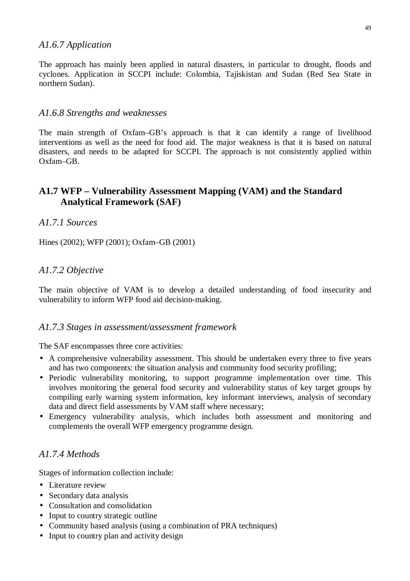### *A1.6.7 Application*

The approach has mainly been applied in natural disasters, in particular to drought, floods and cyclones. Application in SCCPI include: Colombia, Tajiskistan and Sudan (Red Sea State in northern Sudan).

### *A1.6.8 Strengths and weaknesses*

The main strength of Oxfam–GB's approach is that it can identify a range of livelihood interventions as well as the need for food aid. The major weakness is that it is based on natural disasters, and needs to be adapted for SCCPI. The approach is not consistently applied within Oxfam–GB.

# **A1.7 WFP – Vulnerability Assessment Mapping (VAM) and the Standard Analytical Framework (SAF)**

### *A1.7.1 Sources*

Hines (2002); WFP (2001); Oxfam–GB (2001)

### *A1.7.2 Objective*

The main objective of VAM is to develop a detailed understanding of food insecurity and vulnerability to inform WFP food aid decision-making.

#### *A1.7.3 Stages in assessment/assessment framework*

The SAF encompasses three core activities:

- A comprehensive vulnerability assessment. This should be undertaken every three to five years and has two components: the situation analysis and community food security profiling;
- Periodic vulnerability monitoring, to support programme implementation over time. This involves monitoring the general food security and vulnerability status of key target groups by compiling early warning system information, key informant interviews, analysis of secondary data and direct field assessments by VAM staff where necessary;
- Emergency vulnerability analysis, which includes both assessment and monitoring and complements the overall WFP emergency programme design.

# *A1.7.4 Methods*

Stages of information collection include:

- Literature review
- Secondary data analysis
- Consultation and consolidation
- Input to country strategic outline
- Community based analysis (using a combination of PRA techniques)
- Input to country plan and activity design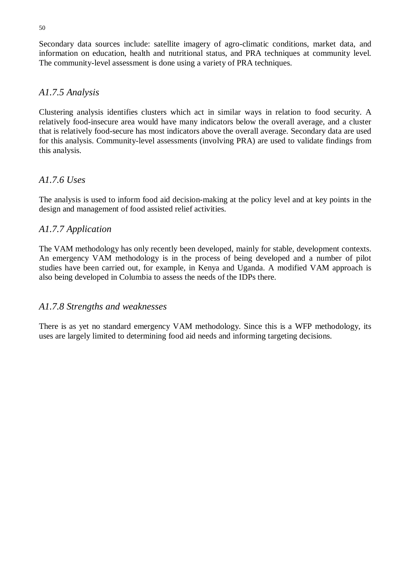Secondary data sources include: satellite imagery of agro-climatic conditions, market data, and information on education, health and nutritional status, and PRA techniques at community level. The community-level assessment is done using a variety of PRA techniques.

### *A1.7.5 Analysis*

Clustering analysis identifies clusters which act in similar ways in relation to food security. A relatively food-insecure area would have many indicators below the overall average, and a cluster that is relatively food-secure has most indicators above the overall average. Secondary data are used for this analysis. Community-level assessments (involving PRA) are used to validate findings from this analysis.

# *A1.7.6 Uses*

The analysis is used to inform food aid decision-making at the policy level and at key points in the design and management of food assisted relief activities.

# *A1.7.7 Application*

The VAM methodology has only recently been developed, mainly for stable, development contexts. An emergency VAM methodology is in the process of being developed and a number of pilot studies have been carried out, for example, in Kenya and Uganda. A modified VAM approach is also being developed in Columbia to assess the needs of the IDPs there.

### *A1.7.8 Strengths and weaknesses*

There is as yet no standard emergency VAM methodology. Since this is a WFP methodology, its uses are largely limited to determining food aid needs and informing targeting decisions.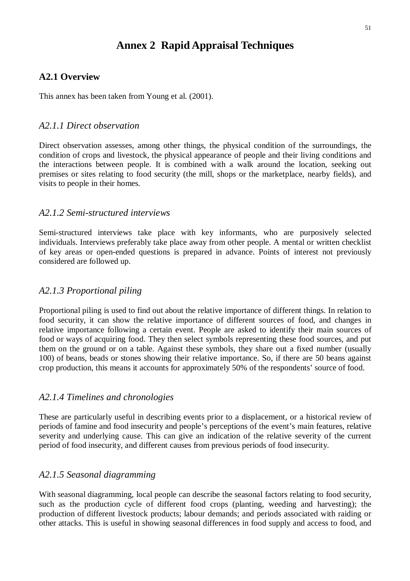# **Annex 2 Rapid Appraisal Techniques**

### **A2.1 Overview**

This annex has been taken from Young et al. (2001).

### *A2.1.1 Direct observation*

Direct observation assesses, among other things, the physical condition of the surroundings, the condition of crops and livestock, the physical appearance of people and their living conditions and the interactions between people. It is combined with a walk around the location, seeking out premises or sites relating to food security (the mill, shops or the marketplace, nearby fields), and visits to people in their homes.

### *A2.1.2 Semi-structured interviews*

Semi-structured interviews take place with key informants, who are purposively selected individuals. Interviews preferably take place away from other people. A mental or written checklist of key areas or open-ended questions is prepared in advance. Points of interest not previously considered are followed up.

### *A2.1.3 Proportional piling*

Proportional piling is used to find out about the relative importance of different things. In relation to food security, it can show the relative importance of different sources of food, and changes in relative importance following a certain event. People are asked to identify their main sources of food or ways of acquiring food. They then select symbols representing these food sources, and put them on the ground or on a table. Against these symbols, they share out a fixed number (usually 100) of beans, beads or stones showing their relative importance. So, if there are 50 beans against crop production, this means it accounts for approximately 50% of the respondents' source of food.

#### *A2.1.4 Timelines and chronologies*

These are particularly useful in describing events prior to a displacement, or a historical review of periods of famine and food insecurity and people's perceptions of the event's main features, relative severity and underlying cause. This can give an indication of the relative severity of the current period of food insecurity, and different causes from previous periods of food insecurity.

### *A2.1.5 Seasonal diagramming*

With seasonal diagramming, local people can describe the seasonal factors relating to food security, such as the production cycle of different food crops (planting, weeding and harvesting); the production of different livestock products; labour demands; and periods associated with raiding or other attacks. This is useful in showing seasonal differences in food supply and access to food, and